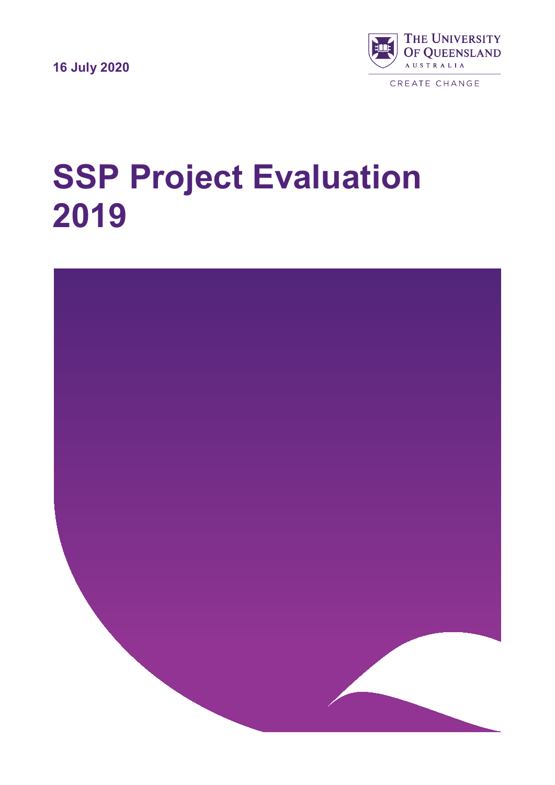**16 July 2020**



CREATE CHANGE

# **SSP Project Evaluation 2019**

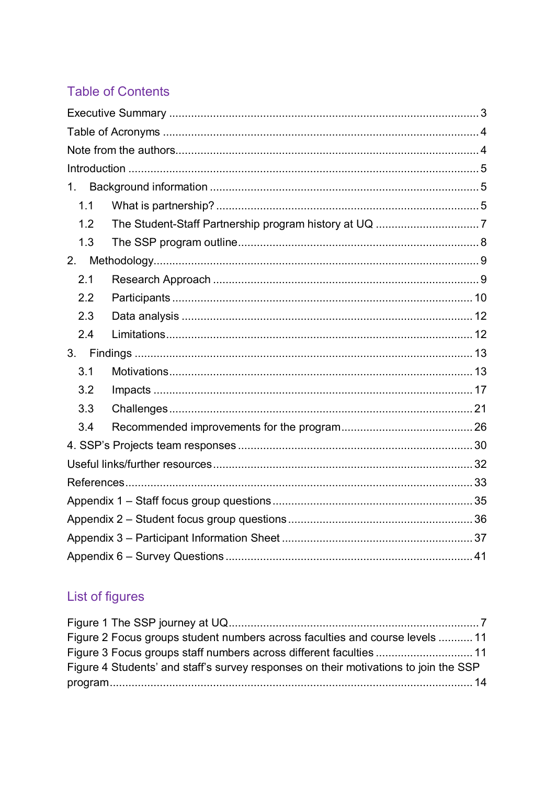# **Table of Contents**

| 1.  |  |
|-----|--|
| 1.1 |  |
| 1.2 |  |
| 1.3 |  |
| 2.  |  |
| 2.1 |  |
| 2.2 |  |
| 2.3 |  |
| 2.4 |  |
|     |  |
| 3.1 |  |
| 3.2 |  |
| 3.3 |  |
| 3.4 |  |
|     |  |
|     |  |
|     |  |
|     |  |
|     |  |
|     |  |
|     |  |

# List of figures

<span id="page-1-0"></span>

| Figure 2 Focus groups student numbers across faculties and course levels  11         |  |
|--------------------------------------------------------------------------------------|--|
| Figure 3 Focus groups staff numbers across different faculties 11                    |  |
| Figure 4 Students' and staff's survey responses on their motivations to join the SSP |  |
|                                                                                      |  |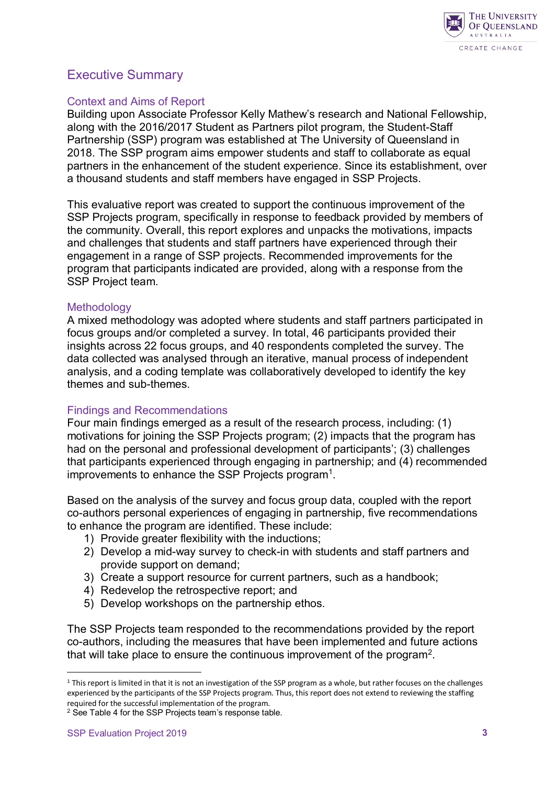

## Executive Summary

#### Context and Aims of Report

Building upon Associate Professor Kelly Mathew's research and National Fellowship, along with the 2016/2017 Student as Partners pilot program, the Student-Staff Partnership (SSP) program was established at The University of Queensland in 2018. The SSP program aims empower students and staff to collaborate as equal partners in the enhancement of the student experience. Since its establishment, over a thousand students and staff members have engaged in SSP Projects.

This evaluative report was created to support the continuous improvement of the SSP Projects program, specifically in response to feedback provided by members of the community. Overall, this report explores and unpacks the motivations, impacts and challenges that students and staff partners have experienced through their engagement in a range of SSP projects. Recommended improvements for the program that participants indicated are provided, along with a response from the SSP Project team.

#### **Methodology**

A mixed methodology was adopted where students and staff partners participated in focus groups and/or completed a survey. In total, 46 participants provided their insights across 22 focus groups, and 40 respondents completed the survey. The data collected was analysed through an iterative, manual process of independent analysis, and a coding template was collaboratively developed to identify the key themes and sub-themes.

#### Findings and Recommendations

Four main findings emerged as a result of the research process, including: (1) motivations for joining the SSP Projects program; (2) impacts that the program has had on the personal and professional development of participants'; (3) challenges that participants experienced through engaging in partnership; and (4) recommended improvements to enhance the SSP Projects program<sup>1</sup>.

Based on the analysis of the survey and focus group data, coupled with the report co-authors personal experiences of engaging in partnership, five recommendations to enhance the program are identified. These include:

- 1) Provide greater flexibility with the inductions;
- 2) Develop a mid-way survey to check-in with students and staff partners and provide support on demand;
- 3) Create a support resource for current partners, such as a handbook;
- 4) Redevelop the retrospective report; and
- 5) Develop workshops on the partnership ethos.

The SSP Projects team responded to the recommendations provided by the report co-authors, including the measures that have been implemented and future actions that will take place to ensure the continuous improvement of the progra[m2.](#page-2-1)

 $\overline{a}$ 

<span id="page-2-0"></span> $1$  This report is limited in that it is not an investigation of the SSP program as a whole, but rather focuses on the challenges experienced by the participants of the SSP Projects program. Thus, this report does not extend to reviewing the staffing required for the successful implementation of the program.

<span id="page-2-1"></span><sup>&</sup>lt;sup>2</sup> See Table 4 for the SSP Projects team's response table.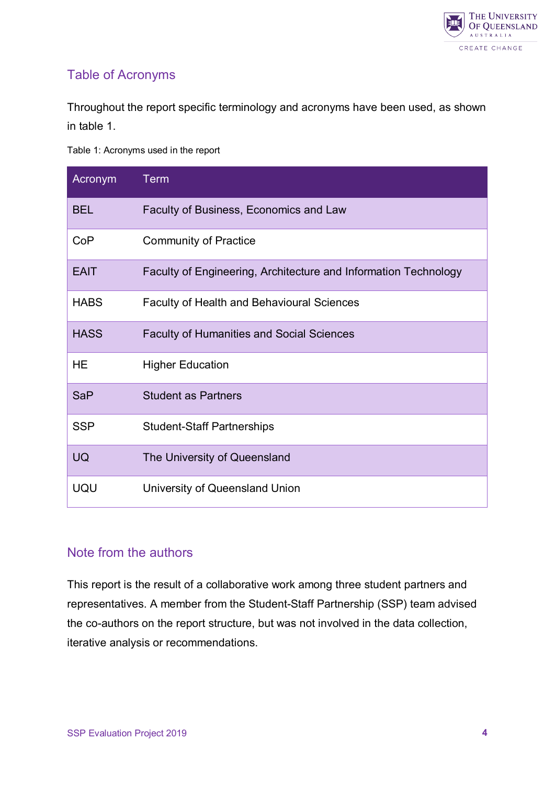

## <span id="page-3-0"></span>Table of Acronyms

Throughout the report specific terminology and acronyms have been used, as shown in table 1.

Table 1: Acronyms used in the report

| Acronym     | <b>Term</b>                                                     |
|-------------|-----------------------------------------------------------------|
| <b>BEL</b>  | Faculty of Business, Economics and Law                          |
| CoP         | <b>Community of Practice</b>                                    |
| <b>EAIT</b> | Faculty of Engineering, Architecture and Information Technology |
| <b>HABS</b> | <b>Faculty of Health and Behavioural Sciences</b>               |
| <b>HASS</b> | <b>Faculty of Humanities and Social Sciences</b>                |
| HE          | <b>Higher Education</b>                                         |
| <b>SaP</b>  | <b>Student as Partners</b>                                      |
| <b>SSP</b>  | <b>Student-Staff Partnerships</b>                               |
| <b>UQ</b>   | The University of Queensland                                    |
| UQU         | University of Queensland Union                                  |

## <span id="page-3-1"></span>Note from the authors

<span id="page-3-2"></span>This report is the result of a collaborative work among three student partners and representatives. A member from the Student-Staff Partnership (SSP) team advised the co-authors on the report structure, but was not involved in the data collection, iterative analysis or recommendations.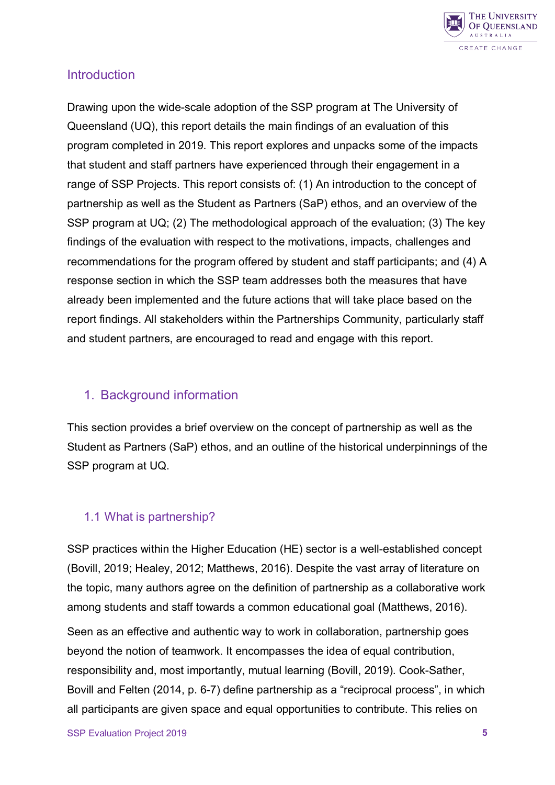

#### **Introduction**

Drawing upon the wide-scale adoption of the SSP program at The University of Queensland (UQ), this report details the main findings of an evaluation of this program completed in 2019. This report explores and unpacks some of the impacts that student and staff partners have experienced through their engagement in a range of SSP Projects. This report consists of: (1) An introduction to the concept of partnership as well as the Student as Partners (SaP) ethos, and an overview of the SSP program at UQ; (2) The methodological approach of the evaluation; (3) The key findings of the evaluation with respect to the motivations, impacts, challenges and recommendations for the program offered by student and staff participants; and (4) A response section in which the SSP team addresses both the measures that have already been implemented and the future actions that will take place based on the report findings. All stakeholders within the Partnerships Community, particularly staff and student partners, are encouraged to read and engage with this report.

## <span id="page-4-0"></span>1. Background information

This section provides a brief overview on the concept of partnership as well as the Student as Partners (SaP) ethos, and an outline of the historical underpinnings of the SSP program at UQ.

#### <span id="page-4-1"></span>1.1 What is partnership?

SSP practices within the Higher Education (HE) sector is a well-established concept (Bovill, 2019; Healey, 2012; Matthews, 2016). Despite the vast array of literature on the topic, many authors agree on the definition of partnership as a collaborative work among students and staff towards a common educational goal (Matthews, 2016).

Seen as an effective and authentic way to work in collaboration, partnership goes beyond the notion of teamwork. It encompasses the idea of equal contribution, responsibility and, most importantly, mutual learning (Bovill, 2019). Cook-Sather, Bovill and Felten (2014, p. 6-7) define partnership as a "reciprocal process", in which all participants are given space and equal opportunities to contribute. This relies on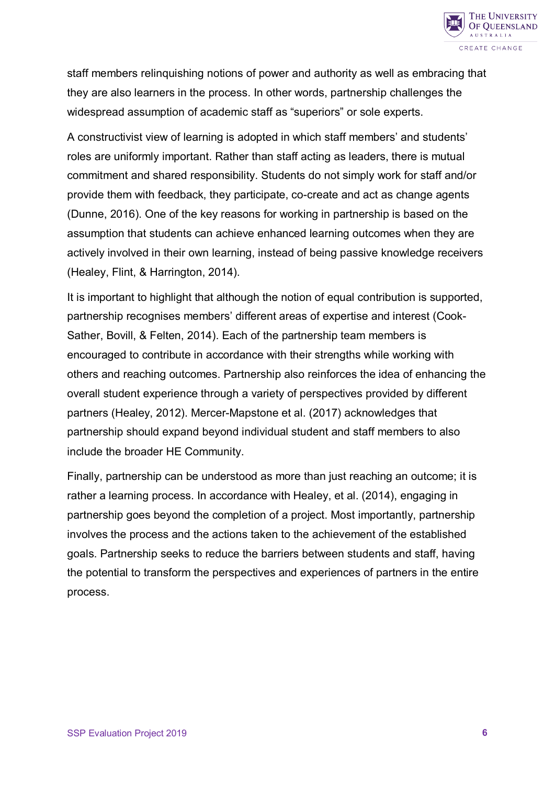

staff members relinquishing notions of power and authority as well as embracing that they are also learners in the process. In other words, partnership challenges the widespread assumption of academic staff as "superiors" or sole experts.

A constructivist view of learning is adopted in which staff members' and students' roles are uniformly important. Rather than staff acting as leaders, there is mutual commitment and shared responsibility. Students do not simply work for staff and/or provide them with feedback, they participate, co-create and act as change agents (Dunne, 2016). One of the key reasons for working in partnership is based on the assumption that students can achieve enhanced learning outcomes when they are actively involved in their own learning, instead of being passive knowledge receivers (Healey, Flint, & Harrington, 2014).

It is important to highlight that although the notion of equal contribution is supported, partnership recognises members' different areas of expertise and interest (Cook-Sather, Bovill, & Felten, 2014). Each of the partnership team members is encouraged to contribute in accordance with their strengths while working with others and reaching outcomes. Partnership also reinforces the idea of enhancing the overall student experience through a variety of perspectives provided by different partners (Healey, 2012). Mercer-Mapstone et al. (2017) acknowledges that partnership should expand beyond individual student and staff members to also include the broader HE Community.

Finally, partnership can be understood as more than just reaching an outcome; it is rather a learning process. In accordance with Healey, et al. (2014), engaging in partnership goes beyond the completion of a project. Most importantly, partnership involves the process and the actions taken to the achievement of the established goals. Partnership seeks to reduce the barriers between students and staff, having the potential to transform the perspectives and experiences of partners in the entire process.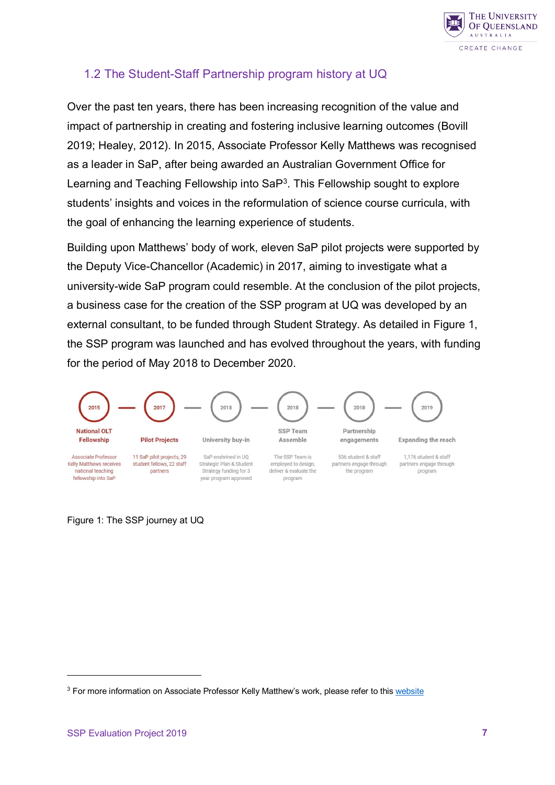

## <span id="page-6-0"></span>1.2 The Student-Staff Partnership program history at UQ

Over the past ten years, there has been increasing recognition of the value and impact of partnership in creating and fostering inclusive learning outcomes (Bovill 2019; Healey, 2012). In 2015, Associate Professor Kelly Matthews was recognised as a leader in SaP, after being awarded an Australian Government Office for Learning and Teaching Fellowship into  $\text{SaP}^3$  $\text{SaP}^3$ . This Fellowship sought to explore students' insights and voices in the reformulation of science course curricula, with the goal of enhancing the learning experience of students.

Building upon Matthews' body of work, eleven SaP pilot projects were supported by the Deputy Vice-Chancellor (Academic) in 2017, aiming to investigate what a university-wide SaP program could resemble. At the conclusion of the pilot projects, a business case for the creation of the SSP program at UQ was developed by an external consultant, to be funded through Student Strategy. As detailed in Figure 1, the SSP program was launched and has evolved throughout the years, with funding for the period of May 2018 to December 2020.

<span id="page-6-1"></span>

Figure 1: The SSP journey at UQ

 $\overline{a}$ 

<span id="page-6-2"></span><sup>&</sup>lt;sup>3</sup> For more information on Associate Professor Kelly Matthew's work, please refer to thi[s website](https://altf.org/fellowships/students-as-partners-reconceptualising-the-role-of-students-in-degree-program-curriculum-development/)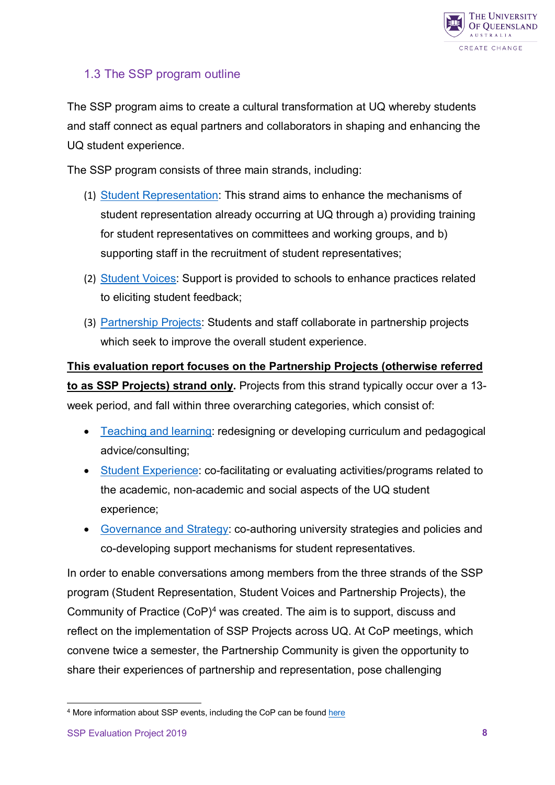

## <span id="page-7-0"></span>1.3 The SSP program outline

The SSP program aims to create a cultural transformation at UQ whereby students and staff connect as equal partners and collaborators in shaping and enhancing the UQ student experience.

The SSP program consists of three main strands, including:

- (1) [Student Representation:](https://employability.uq.edu.au/student-staff-partnerships-student-representation) This strand aims to enhance the mechanisms of student representation already occurring at UQ through a) providing training for student representatives on committees and working groups, and b) supporting staff in the recruitment of student representatives;
- (2) [Student Voices:](https://employability.uq.edu.au/student-staff-partnerships-student-voice) Support is provided to schools to enhance practices related to eliciting student feedback;
- (3) [Partnership Projects:](https://employability.uq.edu.au/ssp-projects) Students and staff collaborate in partnership projects which seek to improve the overall student experience.

**This evaluation report focuses on the Partnership Projects (otherwise referred to as SSP Projects) strand only.** Projects from this strand typically occur over a 13 week period, and fall within three overarching categories, which consist of:

- [Teaching and learning:](https://employability.uq.edu.au/teaching-and-learning-partnership-projects) redesigning or developing curriculum and pedagogical advice/consulting;
- [Student Experience:](https://employability.uq.edu.au/student-experience-partnership-projects) co-facilitating or evaluating activities/programs related to the academic, non-academic and social aspects of the UQ student experience;
- [Governance and Strategy:](https://employability.uq.edu.au/governance-and-strategy-partnership-projects) co-authoring university strategies and policies and co-developing support mechanisms for student representatives.

In order to enable conversations among members from the three strands of the SSP program (Student Representation, Student Voices and Partnership Projects), the Community of Practice (CoP)[4](#page-7-1) was created. The aim is to support, discuss and reflect on the implementation of SSP Projects across UQ. At CoP meetings, which convene twice a semester, the Partnership Community is given the opportunity to share their experiences of partnership and representation, pose challenging

<span id="page-7-1"></span> $\overline{a}$ <sup>4</sup> More information about SSP events, including the CoP can be foun[d here](https://employability.uq.edu.au/get-experiences/student-staff-partnerships/student-staff-partnerships-event-information)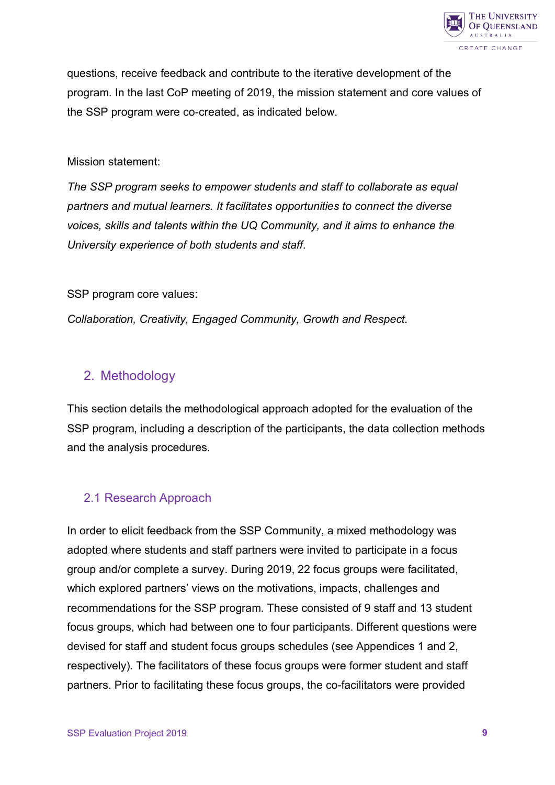

questions, receive feedback and contribute to the iterative development of the program. In the last CoP meeting of 2019, the mission statement and core values of the SSP program were co-created, as indicated below.

#### Mission statement:

*The SSP program seeks to empower students and staff to collaborate as equal partners and mutual learners. It facilitates opportunities to connect the diverse voices, skills and talents within the UQ Community, and it aims to enhance the University experience of both students and staff*.

SSP program core values:

*Collaboration, Creativity, Engaged Community, Growth and Respect.*

## <span id="page-8-0"></span>2. Methodology

This section details the methodological approach adopted for the evaluation of the SSP program, including a description of the participants, the data collection methods and the analysis procedures.

#### <span id="page-8-1"></span>2.1 Research Approach

In order to elicit feedback from the SSP Community, a mixed methodology was adopted where students and staff partners were invited to participate in a focus group and/or complete a survey. During 2019, 22 focus groups were facilitated, which explored partners' views on the motivations, impacts, challenges and recommendations for the SSP program. These consisted of 9 staff and 13 student focus groups, which had between one to four participants. Different questions were devised for staff and student focus groups schedules (see Appendices 1 and 2, respectively). The facilitators of these focus groups were former student and staff partners. Prior to facilitating these focus groups, the co-facilitators were provided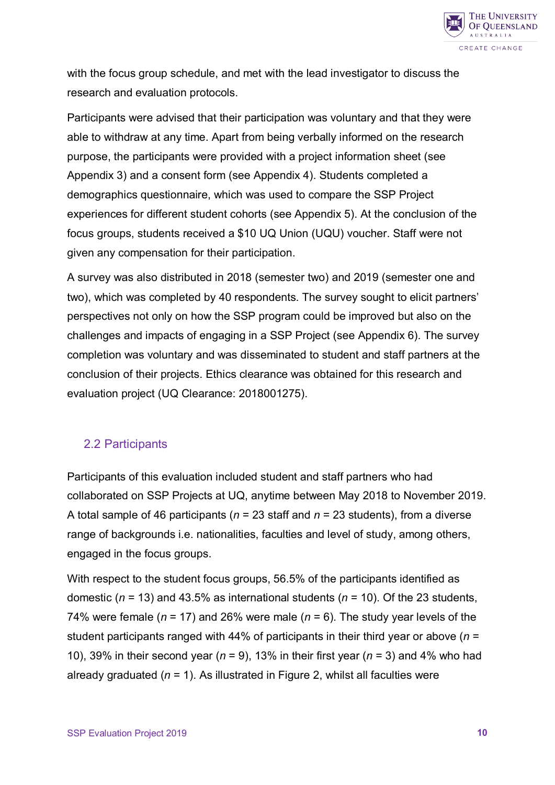

with the focus group schedule, and met with the lead investigator to discuss the research and evaluation protocols.

Participants were advised that their participation was voluntary and that they were able to withdraw at any time. Apart from being verbally informed on the research purpose, the participants were provided with a project information sheet (see Appendix 3) and a consent form (see Appendix 4). Students completed a demographics questionnaire, which was used to compare the SSP Project experiences for different student cohorts (see Appendix 5). At the conclusion of the focus groups, students received a \$10 UQ Union (UQU) voucher. Staff were not given any compensation for their participation.

A survey was also distributed in 2018 (semester two) and 2019 (semester one and two), which was completed by 40 respondents. The survey sought to elicit partners' perspectives not only on how the SSP program could be improved but also on the challenges and impacts of engaging in a SSP Project (see Appendix 6). The survey completion was voluntary and was disseminated to student and staff partners at the conclusion of their projects. Ethics clearance was obtained for this research and evaluation project (UQ Clearance: 2018001275).

#### <span id="page-9-0"></span>2.2 Participants

Participants of this evaluation included student and staff partners who had collaborated on SSP Projects at UQ, anytime between May 2018 to November 2019. A total sample of 46 participants (*n* = 23 staff and *n* = 23 students), from a diverse range of backgrounds i.e. nationalities, faculties and level of study, among others, engaged in the focus groups.

With respect to the student focus groups, 56.5% of the participants identified as domestic (*n* = 13) and 43.5% as international students (*n* = 10). Of the 23 students, 74% were female ( $n = 17$ ) and 26% were male ( $n = 6$ ). The study year levels of the student participants ranged with 44% of participants in their third year or above (*n* = 10), 39% in their second year (*n* = 9), 13% in their first year (*n* = 3) and 4% who had already graduated (*n* = 1). As illustrated in Figure 2, whilst all faculties were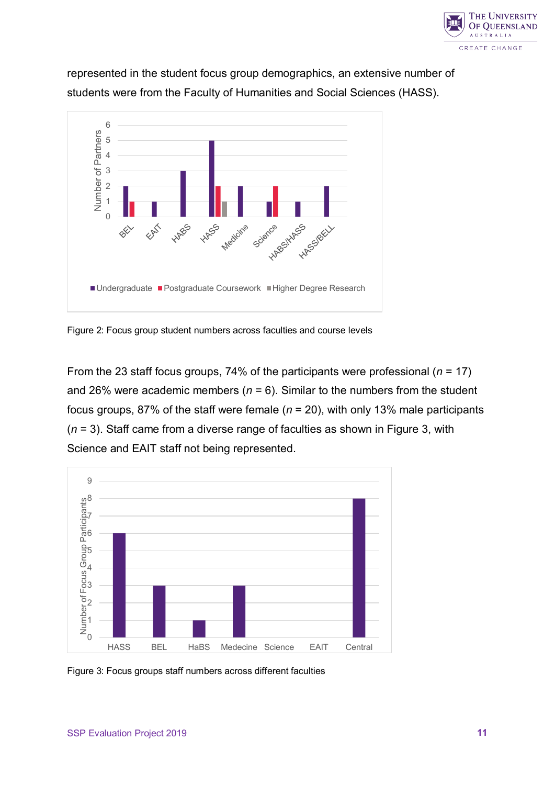

represented in the student focus group demographics, an extensive number of students were from the Faculty of Humanities and Social Sciences (HASS).



<span id="page-10-0"></span>Figure 2: Focus group student numbers across faculties and course levels

From the 23 staff focus groups, 74% of the participants were professional (*n* = 17) and 26% were academic members ( $n = 6$ ). Similar to the numbers from the student focus groups, 87% of the staff were female (*n* = 20), with only 13% male participants (*n* = 3). Staff came from a diverse range of faculties as shown in Figure 3, with Science and EAIT staff not being represented.

<span id="page-10-1"></span>

Figure 3: Focus groups staff numbers across different faculties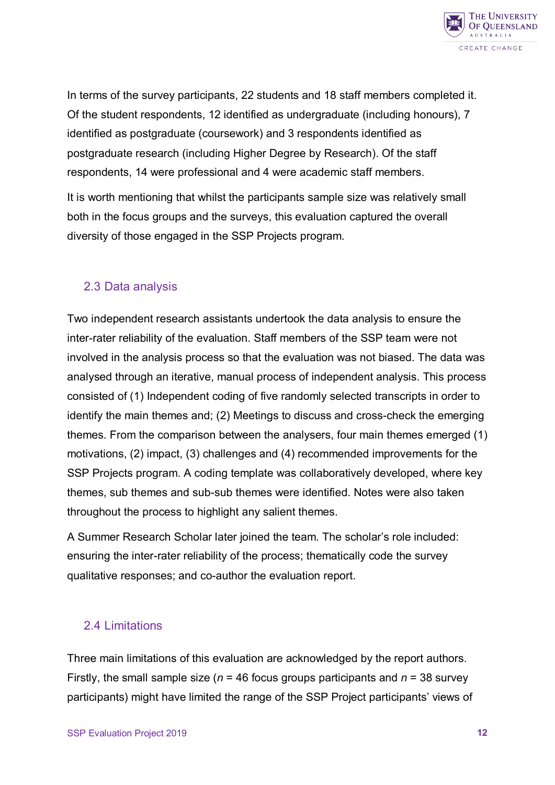

In terms of the survey participants, 22 students and 18 staff members completed it. Of the student respondents, 12 identified as undergraduate (including honours), 7 identified as postgraduate (coursework) and 3 respondents identified as postgraduate research (including Higher Degree by Research). Of the staff respondents, 14 were professional and 4 were academic staff members.

It is worth mentioning that whilst the participants sample size was relatively small both in the focus groups and the surveys, this evaluation captured the overall diversity of those engaged in the SSP Projects program.

#### <span id="page-11-0"></span>2.3 Data analysis

Two independent research assistants undertook the data analysis to ensure the inter-rater reliability of the evaluation. Staff members of the SSP team were not involved in the analysis process so that the evaluation was not biased. The data was analysed through an iterative, manual process of independent analysis. This process consisted of (1) Independent coding of five randomly selected transcripts in order to identify the main themes and; (2) Meetings to discuss and cross-check the emerging themes. From the comparison between the analysers, four main themes emerged (1) motivations, (2) impact, (3) challenges and (4) recommended improvements for the SSP Projects program. A coding template was collaboratively developed, where key themes, sub themes and sub-sub themes were identified. Notes were also taken throughout the process to highlight any salient themes.

A Summer Research Scholar later joined the team. The scholar's role included: ensuring the inter-rater reliability of the process; thematically code the survey qualitative responses; and co-author the evaluation report.

#### <span id="page-11-1"></span>2.4 Limitations

Three main limitations of this evaluation are acknowledged by the report authors. Firstly, the small sample size (*n* = 46 focus groups participants and *n* = 38 survey participants) might have limited the range of the SSP Project participants' views of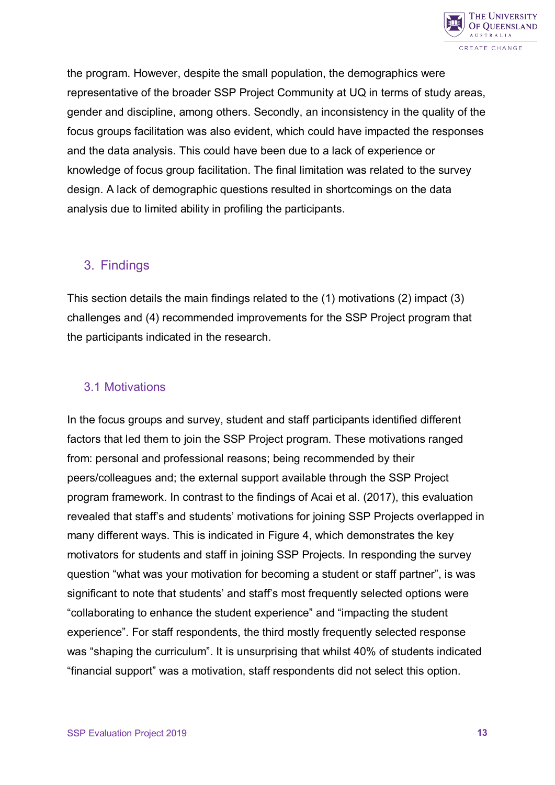

the program. However, despite the small population, the demographics were representative of the broader SSP Project Community at UQ in terms of study areas, gender and discipline, among others. Secondly, an inconsistency in the quality of the focus groups facilitation was also evident, which could have impacted the responses and the data analysis. This could have been due to a lack of experience or knowledge of focus group facilitation. The final limitation was related to the survey design. A lack of demographic questions resulted in shortcomings on the data analysis due to limited ability in profiling the participants.

## <span id="page-12-0"></span>3. Findings

This section details the main findings related to the (1) motivations (2) impact (3) challenges and (4) recommended improvements for the SSP Project program that the participants indicated in the research.

## <span id="page-12-1"></span>3.1 Motivations

In the focus groups and survey, student and staff participants identified different factors that led them to join the SSP Project program. These motivations ranged from: personal and professional reasons; being recommended by their peers/colleagues and; the external support available through the SSP Project program framework. In contrast to the findings of Acai et al. (2017), this evaluation revealed that staff's and students' motivations for joining SSP Projects overlapped in many different ways. This is indicated in Figure 4, which demonstrates the key motivators for students and staff in joining SSP Projects. In responding the survey question "what was your motivation for becoming a student or staff partner", is was significant to note that students' and staff's most frequently selected options were "collaborating to enhance the student experience" and "impacting the student experience". For staff respondents, the third mostly frequently selected response was "shaping the curriculum". It is unsurprising that whilst 40% of students indicated "financial support" was a motivation, staff respondents did not select this option.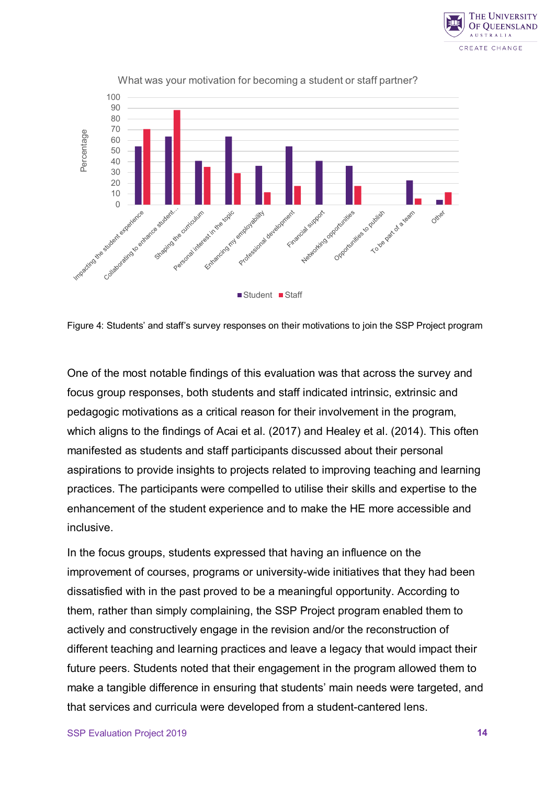



What was your motivation for becoming a student or staff partner?

<span id="page-13-0"></span>Figure 4: Students' and staff's survey responses on their motivations to join the SSP Project program

One of the most notable findings of this evaluation was that across the survey and focus group responses, both students and staff indicated intrinsic, extrinsic and pedagogic motivations as a critical reason for their involvement in the program, which aligns to the findings of Acai et al. (2017) and Healey et al. (2014). This often manifested as students and staff participants discussed about their personal aspirations to provide insights to projects related to improving teaching and learning practices. The participants were compelled to utilise their skills and expertise to the enhancement of the student experience and to make the HE more accessible and inclusive.

In the focus groups, students expressed that having an influence on the improvement of courses, programs or university-wide initiatives that they had been dissatisfied with in the past proved to be a meaningful opportunity. According to them, rather than simply complaining, the SSP Project program enabled them to actively and constructively engage in the revision and/or the reconstruction of different teaching and learning practices and leave a legacy that would impact their future peers. Students noted that their engagement in the program allowed them to make a tangible difference in ensuring that students' main needs were targeted, and that services and curricula were developed from a student-cantered lens.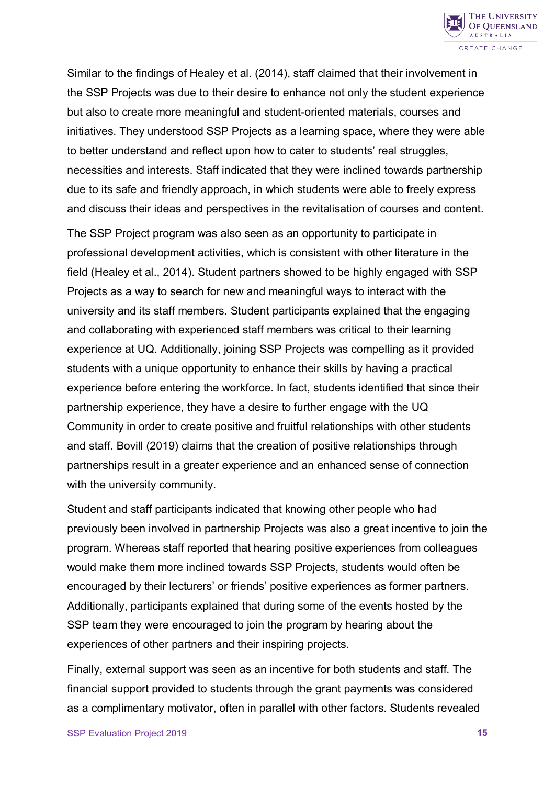

Similar to the findings of Healey et al. (2014), staff claimed that their involvement in the SSP Projects was due to their desire to enhance not only the student experience but also to create more meaningful and student-oriented materials, courses and initiatives. They understood SSP Projects as a learning space, where they were able to better understand and reflect upon how to cater to students' real struggles, necessities and interests. Staff indicated that they were inclined towards partnership due to its safe and friendly approach, in which students were able to freely express and discuss their ideas and perspectives in the revitalisation of courses and content.

The SSP Project program was also seen as an opportunity to participate in professional development activities, which is consistent with other literature in the field (Healey et al., 2014). Student partners showed to be highly engaged with SSP Projects as a way to search for new and meaningful ways to interact with the university and its staff members. Student participants explained that the engaging and collaborating with experienced staff members was critical to their learning experience at UQ. Additionally, joining SSP Projects was compelling as it provided students with a unique opportunity to enhance their skills by having a practical experience before entering the workforce. In fact, students identified that since their partnership experience, they have a desire to further engage with the UQ Community in order to create positive and fruitful relationships with other students and staff. Bovill (2019) claims that the creation of positive relationships through partnerships result in a greater experience and an enhanced sense of connection with the university community.

Student and staff participants indicated that knowing other people who had previously been involved in partnership Projects was also a great incentive to join the program. Whereas staff reported that hearing positive experiences from colleagues would make them more inclined towards SSP Projects, students would often be encouraged by their lecturers' or friends' positive experiences as former partners. Additionally, participants explained that during some of the events hosted by the SSP team they were encouraged to join the program by hearing about the experiences of other partners and their inspiring projects.

Finally, external support was seen as an incentive for both students and staff. The financial support provided to students through the grant payments was considered as a complimentary motivator, often in parallel with other factors. Students revealed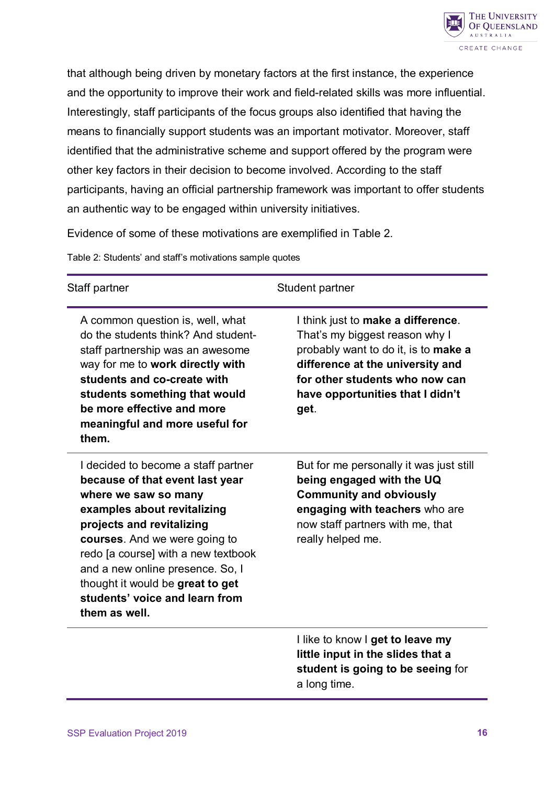

that although being driven by monetary factors at the first instance, the experience and the opportunity to improve their work and field-related skills was more influential. Interestingly, staff participants of the focus groups also identified that having the means to financially support students was an important motivator. Moreover, staff identified that the administrative scheme and support offered by the program were other key factors in their decision to become involved. According to the staff participants, having an official partnership framework was important to offer students an authentic way to be engaged within university initiatives.

Evidence of some of these motivations are exemplified in Table 2.

Table 2: Students' and staff's motivations sample quotes

| Staff partner                                                                                                                                                                                                                                                                                                                                                 | Student partner                                                                                                                                                                                                                |
|---------------------------------------------------------------------------------------------------------------------------------------------------------------------------------------------------------------------------------------------------------------------------------------------------------------------------------------------------------------|--------------------------------------------------------------------------------------------------------------------------------------------------------------------------------------------------------------------------------|
| A common question is, well, what<br>do the students think? And student-<br>staff partnership was an awesome<br>way for me to work directly with<br>students and co-create with<br>students something that would<br>be more effective and more<br>meaningful and more useful for<br>them.                                                                      | I think just to make a difference.<br>That's my biggest reason why I<br>probably want to do it, is to make a<br>difference at the university and<br>for other students who now can<br>have opportunities that I didn't<br>get. |
| I decided to become a staff partner<br>because of that event last year<br>where we saw so many<br>examples about revitalizing<br>projects and revitalizing<br>courses. And we were going to<br>redo [a course] with a new textbook<br>and a new online presence. So, I<br>thought it would be great to get<br>students' voice and learn from<br>them as well. | But for me personally it was just still<br>being engaged with the UQ<br><b>Community and obviously</b><br>engaging with teachers who are<br>now staff partners with me, that<br>really helped me.                              |
|                                                                                                                                                                                                                                                                                                                                                               | I like to know I get to leave my<br>little input in the slides that a<br>student is going to be seeing for<br>a long time.                                                                                                     |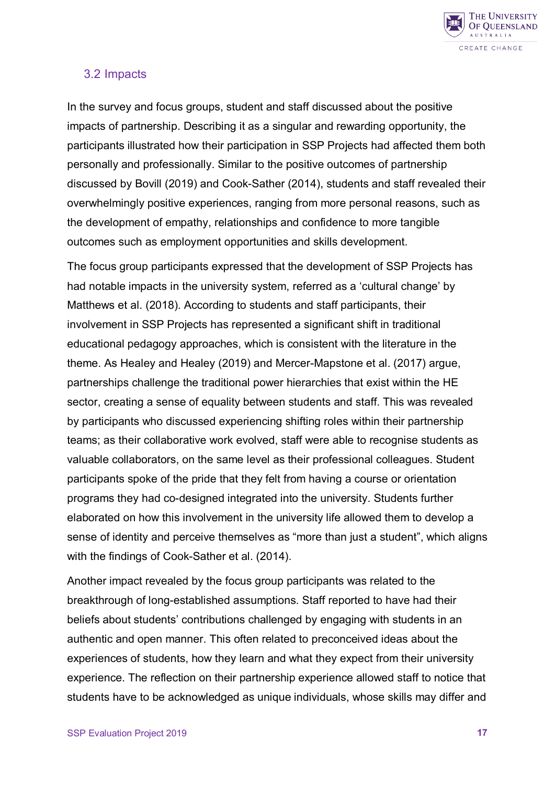

#### <span id="page-16-0"></span>3.2 Impacts

In the survey and focus groups, student and staff discussed about the positive impacts of partnership. Describing it as a singular and rewarding opportunity, the participants illustrated how their participation in SSP Projects had affected them both personally and professionally. Similar to the positive outcomes of partnership discussed by Bovill (2019) and Cook-Sather (2014), students and staff revealed their overwhelmingly positive experiences, ranging from more personal reasons, such as the development of empathy, relationships and confidence to more tangible outcomes such as employment opportunities and skills development.

The focus group participants expressed that the development of SSP Projects has had notable impacts in the university system, referred as a 'cultural change' by Matthews et al. (2018). According to students and staff participants, their involvement in SSP Projects has represented a significant shift in traditional educational pedagogy approaches, which is consistent with the literature in the theme. As Healey and Healey (2019) and Mercer-Mapstone et al. (2017) argue, partnerships challenge the traditional power hierarchies that exist within the HE sector, creating a sense of equality between students and staff. This was revealed by participants who discussed experiencing shifting roles within their partnership teams; as their collaborative work evolved, staff were able to recognise students as valuable collaborators, on the same level as their professional colleagues. Student participants spoke of the pride that they felt from having a course or orientation programs they had co-designed integrated into the university. Students further elaborated on how this involvement in the university life allowed them to develop a sense of identity and perceive themselves as "more than just a student", which aligns with the findings of Cook-Sather et al. (2014).

Another impact revealed by the focus group participants was related to the breakthrough of long-established assumptions. Staff reported to have had their beliefs about students' contributions challenged by engaging with students in an authentic and open manner. This often related to preconceived ideas about the experiences of students, how they learn and what they expect from their university experience. The reflection on their partnership experience allowed staff to notice that students have to be acknowledged as unique individuals, whose skills may differ and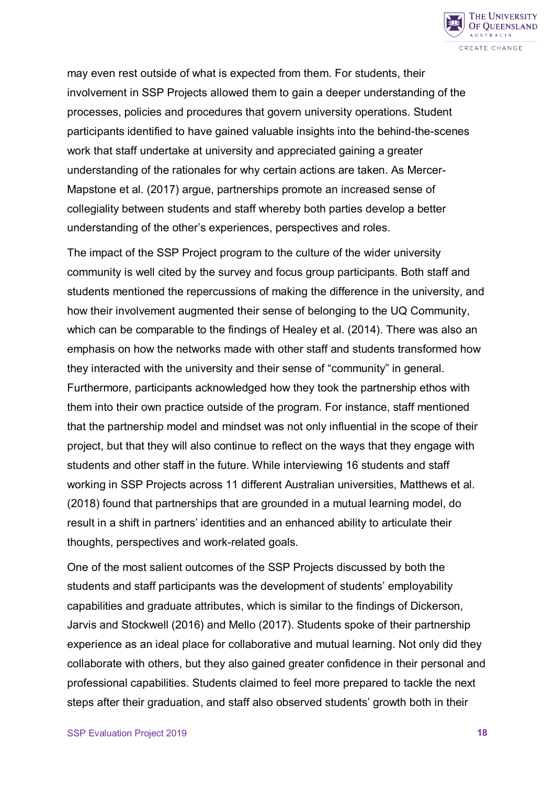

may even rest outside of what is expected from them. For students, their involvement in SSP Projects allowed them to gain a deeper understanding of the processes, policies and procedures that govern university operations. Student participants identified to have gained valuable insights into the behind-the-scenes work that staff undertake at university and appreciated gaining a greater understanding of the rationales for why certain actions are taken. As Mercer-Mapstone et al. (2017) argue, partnerships promote an increased sense of collegiality between students and staff whereby both parties develop a better understanding of the other's experiences, perspectives and roles.

The impact of the SSP Project program to the culture of the wider university community is well cited by the survey and focus group participants. Both staff and students mentioned the repercussions of making the difference in the university, and how their involvement augmented their sense of belonging to the UQ Community, which can be comparable to the findings of Healey et al. (2014). There was also an emphasis on how the networks made with other staff and students transformed how they interacted with the university and their sense of "community" in general. Furthermore, participants acknowledged how they took the partnership ethos with them into their own practice outside of the program. For instance, staff mentioned that the partnership model and mindset was not only influential in the scope of their project, but that they will also continue to reflect on the ways that they engage with students and other staff in the future. While interviewing 16 students and staff working in SSP Projects across 11 different Australian universities, Matthews et al. (2018) found that partnerships that are grounded in a mutual learning model, do result in a shift in partners' identities and an enhanced ability to articulate their thoughts, perspectives and work-related goals.

One of the most salient outcomes of the SSP Projects discussed by both the students and staff participants was the development of students' employability capabilities and graduate attributes, which is similar to the findings of Dickerson, Jarvis and Stockwell (2016) and Mello (2017). Students spoke of their partnership experience as an ideal place for collaborative and mutual learning. Not only did they collaborate with others, but they also gained greater confidence in their personal and professional capabilities. Students claimed to feel more prepared to tackle the next steps after their graduation, and staff also observed students' growth both in their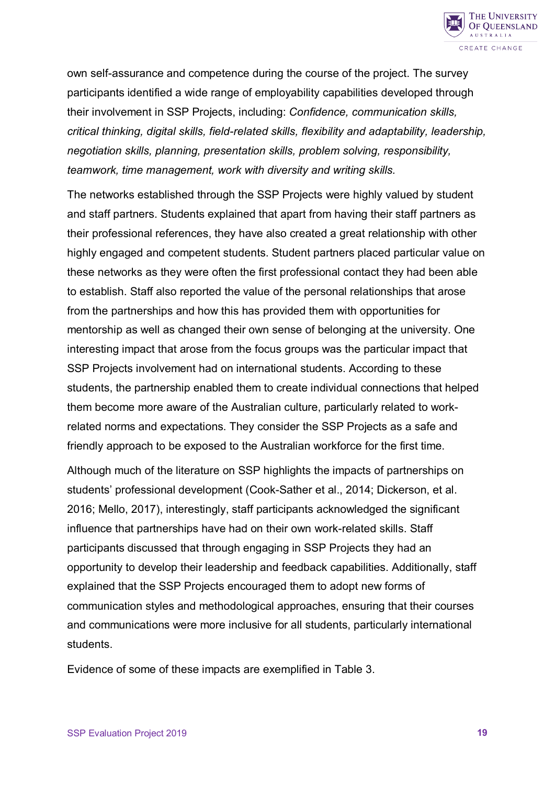

own self-assurance and competence during the course of the project. The survey participants identified a wide range of employability capabilities developed through their involvement in SSP Projects, including: *Confidence, communication skills, critical thinking, digital skills, field-related skills, flexibility and adaptability, leadership, negotiation skills, planning, presentation skills, problem solving, responsibility, teamwork, time management, work with diversity and writing skills.*

The networks established through the SSP Projects were highly valued by student and staff partners. Students explained that apart from having their staff partners as their professional references, they have also created a great relationship with other highly engaged and competent students. Student partners placed particular value on these networks as they were often the first professional contact they had been able to establish. Staff also reported the value of the personal relationships that arose from the partnerships and how this has provided them with opportunities for mentorship as well as changed their own sense of belonging at the university. One interesting impact that arose from the focus groups was the particular impact that SSP Projects involvement had on international students. According to these students, the partnership enabled them to create individual connections that helped them become more aware of the Australian culture, particularly related to workrelated norms and expectations. They consider the SSP Projects as a safe and friendly approach to be exposed to the Australian workforce for the first time.

Although much of the literature on SSP highlights the impacts of partnerships on students' professional development (Cook-Sather et al., 2014; Dickerson, et al. 2016; Mello, 2017), interestingly, staff participants acknowledged the significant influence that partnerships have had on their own work-related skills. Staff participants discussed that through engaging in SSP Projects they had an opportunity to develop their leadership and feedback capabilities. Additionally, staff explained that the SSP Projects encouraged them to adopt new forms of communication styles and methodological approaches, ensuring that their courses and communications were more inclusive for all students, particularly international students.

Evidence of some of these impacts are exemplified in Table 3.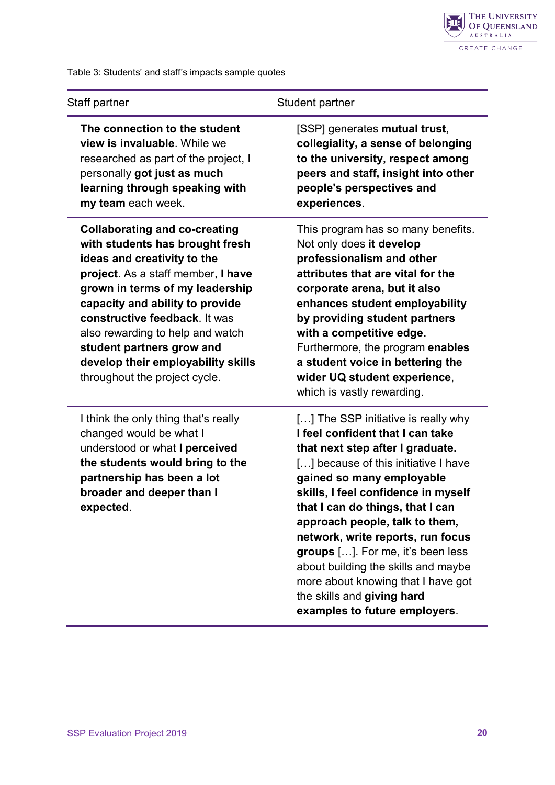

Table 3: Students' and staff's impacts sample quotes

| Staff partner                        | Student partner                     |  |
|--------------------------------------|-------------------------------------|--|
| The connection to the student        | [SSP] generates mutual trust,       |  |
| view is invaluable. While we         | collegiality, a sense of belonging  |  |
| researched as part of the project, I | to the university, respect among    |  |
| personally got just as much          | peers and staff, insight into other |  |
| learning through speaking with       | people's perspectives and           |  |

**Collaborating and co-creating with students has brought fresh ideas and creativity to the project**. As a staff member, **I have grown in terms of my leadership capacity and ability to provide constructive feedback**. It was also rewarding to help and watch **student partners grow and develop their employability skills** throughout the project cycle.

**my team** each week.

I think the only thing that's really changed would be what I understood or what **I perceived the students would bring to the partnership has been a lot broader and deeper than I expected**.

**people's perspectives and experiences**.

This program has so many benefits. Not only does **it develop professionalism and other attributes that are vital for the corporate arena, but it also enhances student employability by providing student partners with a competitive edge.** Furthermore, the program **enables a student voice in bettering the wider UQ student experience**, which is vastly rewarding.

[...] The SSP initiative is really why **I feel confident that I can take that next step after I graduate.** [...] because of this initiative I have **gained so many employable skills, I feel confidence in myself that I can do things, that I can approach people, talk to them, network, write reports, run focus groups** […]. For me, it's been less about building the skills and maybe more about knowing that I have got the skills and **giving hard examples to future employers**.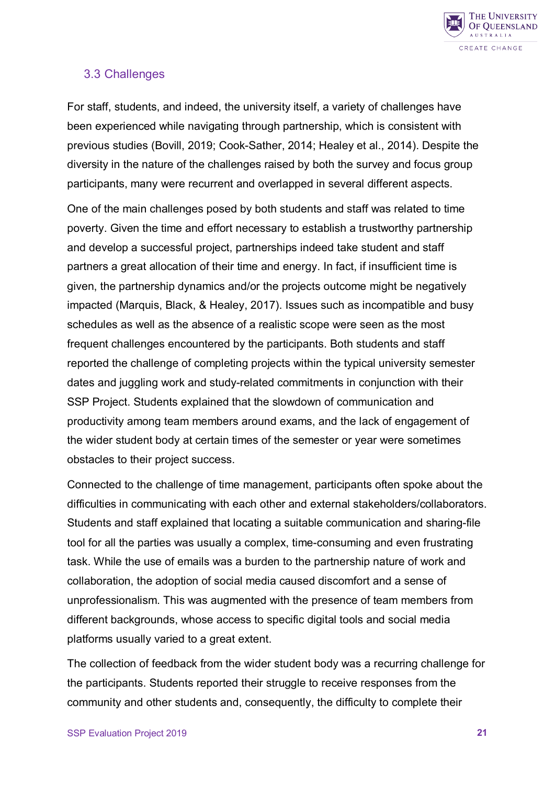

## <span id="page-20-0"></span>3.3 Challenges

For staff, students, and indeed, the university itself, a variety of challenges have been experienced while navigating through partnership, which is consistent with previous studies (Bovill, 2019; Cook-Sather, 2014; Healey et al., 2014). Despite the diversity in the nature of the challenges raised by both the survey and focus group participants, many were recurrent and overlapped in several different aspects.

One of the main challenges posed by both students and staff was related to time poverty. Given the time and effort necessary to establish a trustworthy partnership and develop a successful project, partnerships indeed take student and staff partners a great allocation of their time and energy. In fact, if insufficient time is given, the partnership dynamics and/or the projects outcome might be negatively impacted (Marquis, Black, & Healey, 2017). Issues such as incompatible and busy schedules as well as the absence of a realistic scope were seen as the most frequent challenges encountered by the participants. Both students and staff reported the challenge of completing projects within the typical university semester dates and juggling work and study-related commitments in conjunction with their SSP Project. Students explained that the slowdown of communication and productivity among team members around exams, and the lack of engagement of the wider student body at certain times of the semester or year were sometimes obstacles to their project success.

Connected to the challenge of time management, participants often spoke about the difficulties in communicating with each other and external stakeholders/collaborators. Students and staff explained that locating a suitable communication and sharing-file tool for all the parties was usually a complex, time-consuming and even frustrating task. While the use of emails was a burden to the partnership nature of work and collaboration, the adoption of social media caused discomfort and a sense of unprofessionalism. This was augmented with the presence of team members from different backgrounds, whose access to specific digital tools and social media platforms usually varied to a great extent.

The collection of feedback from the wider student body was a recurring challenge for the participants. Students reported their struggle to receive responses from the community and other students and, consequently, the difficulty to complete their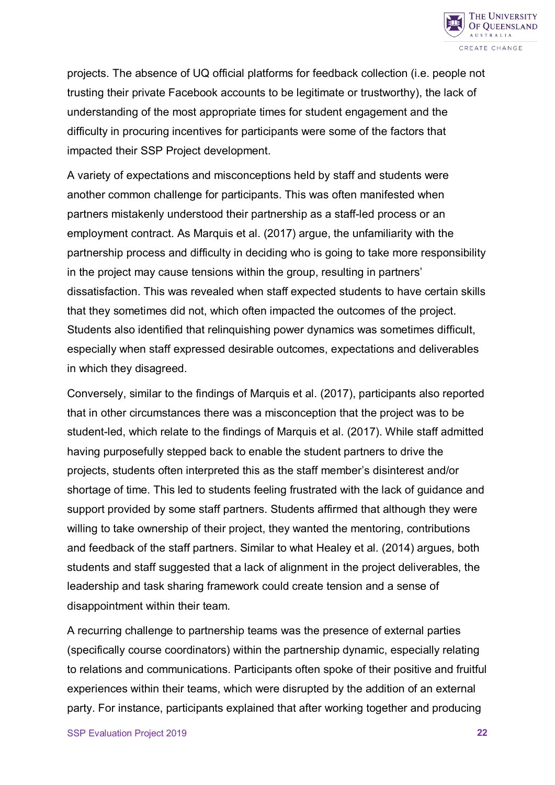

projects. The absence of UQ official platforms for feedback collection (i.e. people not trusting their private Facebook accounts to be legitimate or trustworthy), the lack of understanding of the most appropriate times for student engagement and the difficulty in procuring incentives for participants were some of the factors that impacted their SSP Project development.

A variety of expectations and misconceptions held by staff and students were another common challenge for participants. This was often manifested when partners mistakenly understood their partnership as a staff-led process or an employment contract. As Marquis et al. (2017) argue, the unfamiliarity with the partnership process and difficulty in deciding who is going to take more responsibility in the project may cause tensions within the group, resulting in partners' dissatisfaction. This was revealed when staff expected students to have certain skills that they sometimes did not, which often impacted the outcomes of the project. Students also identified that relinquishing power dynamics was sometimes difficult, especially when staff expressed desirable outcomes, expectations and deliverables in which they disagreed.

Conversely, similar to the findings of Marquis et al. (2017), participants also reported that in other circumstances there was a misconception that the project was to be student-led, which relate to the findings of Marquis et al. (2017). While staff admitted having purposefully stepped back to enable the student partners to drive the projects, students often interpreted this as the staff member's disinterest and/or shortage of time. This led to students feeling frustrated with the lack of guidance and support provided by some staff partners. Students affirmed that although they were willing to take ownership of their project, they wanted the mentoring, contributions and feedback of the staff partners. Similar to what Healey et al. (2014) argues, both students and staff suggested that a lack of alignment in the project deliverables, the leadership and task sharing framework could create tension and a sense of disappointment within their team.

A recurring challenge to partnership teams was the presence of external parties (specifically course coordinators) within the partnership dynamic, especially relating to relations and communications. Participants often spoke of their positive and fruitful experiences within their teams, which were disrupted by the addition of an external party. For instance, participants explained that after working together and producing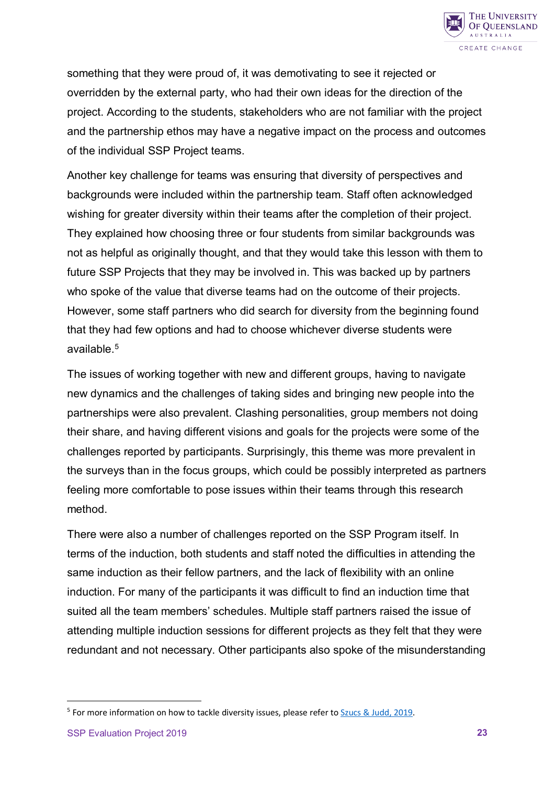

something that they were proud of, it was demotivating to see it rejected or overridden by the external party, who had their own ideas for the direction of the project. According to the students, stakeholders who are not familiar with the project and the partnership ethos may have a negative impact on the process and outcomes of the individual SSP Project teams.

Another key challenge for teams was ensuring that diversity of perspectives and backgrounds were included within the partnership team. Staff often acknowledged wishing for greater diversity within their teams after the completion of their project. They explained how choosing three or four students from similar backgrounds was not as helpful as originally thought, and that they would take this lesson with them to future SSP Projects that they may be involved in. This was backed up by partners who spoke of the value that diverse teams had on the outcome of their projects. However, some staff partners who did search for diversity from the beginning found that they had few options and had to choose whichever diverse students were available $5$ 

The issues of working together with new and different groups, having to navigate new dynamics and the challenges of taking sides and bringing new people into the partnerships were also prevalent. Clashing personalities, group members not doing their share, and having different visions and goals for the projects were some of the challenges reported by participants. Surprisingly, this theme was more prevalent in the surveys than in the focus groups, which could be possibly interpreted as partners feeling more comfortable to pose issues within their teams through this research method.

There were also a number of challenges reported on the SSP Program itself. In terms of the induction, both students and staff noted the difficulties in attending the same induction as their fellow partners, and the lack of flexibility with an online induction. For many of the participants it was difficult to find an induction time that suited all the team members' schedules. Multiple staff partners raised the issue of attending multiple induction sessions for different projects as they felt that they were redundant and not necessary. Other participants also spoke of the misunderstanding

 $\overline{a}$ 

<span id="page-22-0"></span><sup>5</sup> For more information on how to tackle diversity issues, please refer t[o Szucs & Judd, 2019.](https://works.bepress.com/madelaine_judd/57/)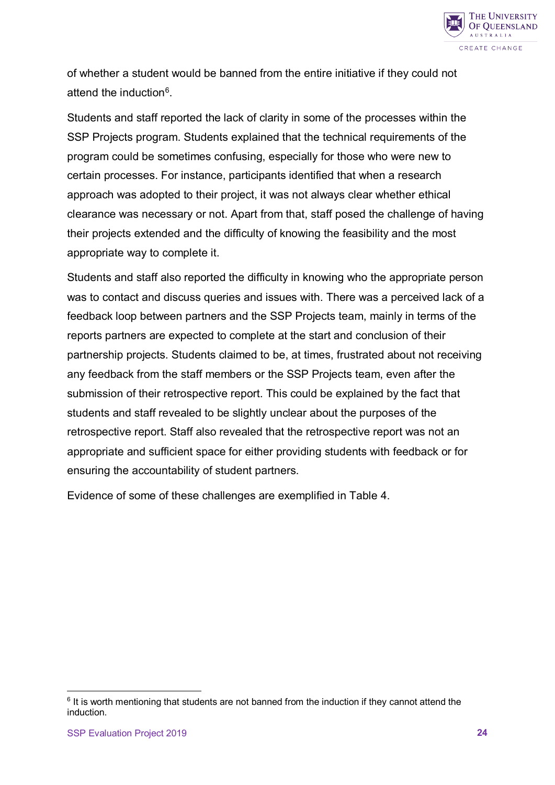

of whether a student would be banned from the entire initiative if they could not attend the induction<sup>6</sup>.

Students and staff reported the lack of clarity in some of the processes within the SSP Projects program. Students explained that the technical requirements of the program could be sometimes confusing, especially for those who were new to certain processes. For instance, participants identified that when a research approach was adopted to their project, it was not always clear whether ethical clearance was necessary or not. Apart from that, staff posed the challenge of having their projects extended and the difficulty of knowing the feasibility and the most appropriate way to complete it.

Students and staff also reported the difficulty in knowing who the appropriate person was to contact and discuss queries and issues with. There was a perceived lack of a feedback loop between partners and the SSP Projects team, mainly in terms of the reports partners are expected to complete at the start and conclusion of their partnership projects. Students claimed to be, at times, frustrated about not receiving any feedback from the staff members or the SSP Projects team, even after the submission of their retrospective report. This could be explained by the fact that students and staff revealed to be slightly unclear about the purposes of the retrospective report. Staff also revealed that the retrospective report was not an appropriate and sufficient space for either providing students with feedback or for ensuring the accountability of student partners.

Evidence of some of these challenges are exemplified in Table 4.

 $\overline{a}$ 

<span id="page-23-0"></span> $6$  It is worth mentioning that students are not banned from the induction if they cannot attend the induction.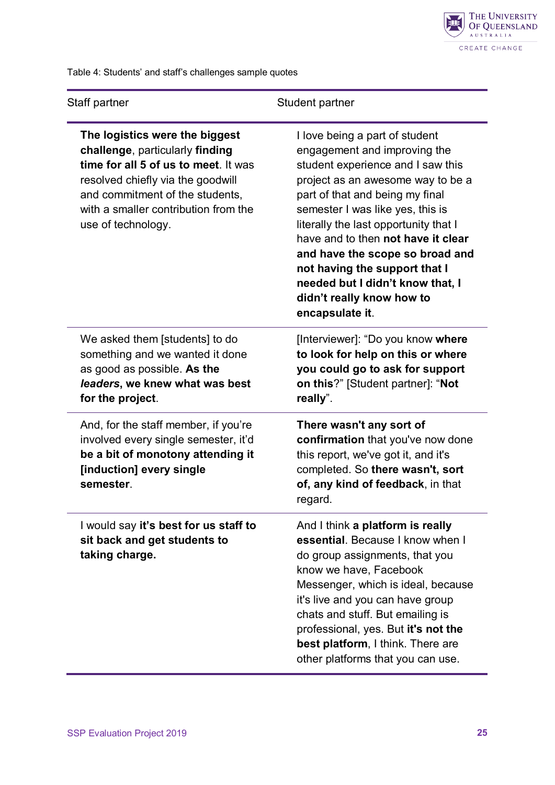

Table 4: Students' and staff's challenges sample quotes

| Staff partner                                                                                                                                                                                                                                   | Student partner                                                                                                                                                                                                                                                                                                                                                                                                                                        |
|-------------------------------------------------------------------------------------------------------------------------------------------------------------------------------------------------------------------------------------------------|--------------------------------------------------------------------------------------------------------------------------------------------------------------------------------------------------------------------------------------------------------------------------------------------------------------------------------------------------------------------------------------------------------------------------------------------------------|
| The logistics were the biggest<br>challenge, particularly finding<br>time for all 5 of us to meet. It was<br>resolved chiefly via the goodwill<br>and commitment of the students,<br>with a smaller contribution from the<br>use of technology. | I love being a part of student<br>engagement and improving the<br>student experience and I saw this<br>project as an awesome way to be a<br>part of that and being my final<br>semester I was like yes, this is<br>literally the last opportunity that I<br>have and to then not have it clear<br>and have the scope so broad and<br>not having the support that I<br>needed but I didn't know that, I<br>didn't really know how to<br>encapsulate it. |
| We asked them [students] to do<br>something and we wanted it done<br>as good as possible. As the<br>leaders, we knew what was best<br>for the project.                                                                                          | [Interviewer]: "Do you know where<br>to look for help on this or where<br>you could go to ask for support<br>on this?" [Student partner]: "Not<br>really".                                                                                                                                                                                                                                                                                             |
| And, for the staff member, if you're<br>involved every single semester, it'd<br>be a bit of monotony attending it<br>[induction] every single<br>semester.                                                                                      | There wasn't any sort of<br>confirmation that you've now done<br>this report, we've got it, and it's<br>completed. So there wasn't, sort<br>of, any kind of feedback, in that<br>regard.                                                                                                                                                                                                                                                               |
| I would say it's best for us staff to<br>sit back and get students to<br>taking charge.                                                                                                                                                         | And I think a platform is really<br>essential. Because I know when I<br>do group assignments, that you<br>know we have, Facebook<br>Messenger, which is ideal, because<br>it's live and you can have group<br>chats and stuff. But emailing is<br>professional, yes. But it's not the<br><b>best platform, I think. There are</b><br>other platforms that you can use.                                                                                 |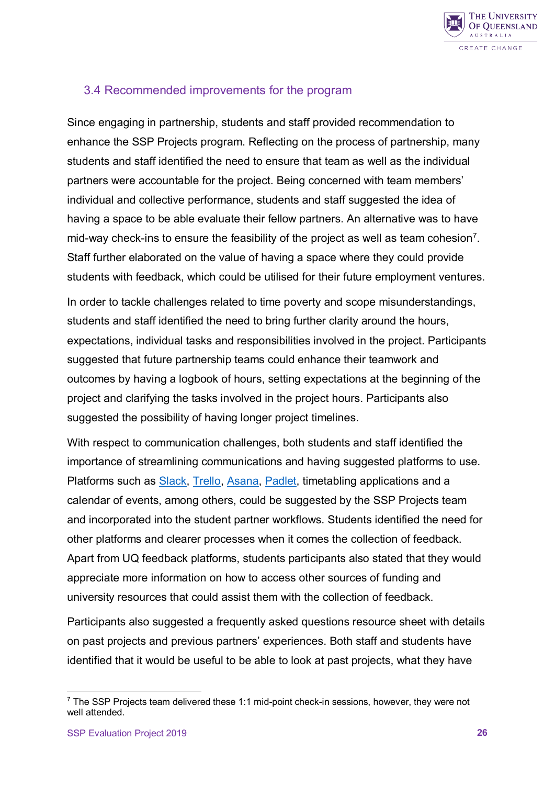

## <span id="page-25-0"></span>3.4 Recommended improvements for the program

Since engaging in partnership, students and staff provided recommendation to enhance the SSP Projects program. Reflecting on the process of partnership, many students and staff identified the need to ensure that team as well as the individual partners were accountable for the project. Being concerned with team members' individual and collective performance, students and staff suggested the idea of having a space to be able evaluate their fellow partners. An alternative was to have mid-way check-ins to ensure the feasibility of the project as well as team cohesion<sup>7</sup>. Staff further elaborated on the value of having a space where they could provide students with feedback, which could be utilised for their future employment ventures.

In order to tackle challenges related to time poverty and scope misunderstandings, students and staff identified the need to bring further clarity around the hours, expectations, individual tasks and responsibilities involved in the project. Participants suggested that future partnership teams could enhance their teamwork and outcomes by having a logbook of hours, setting expectations at the beginning of the project and clarifying the tasks involved in the project hours. Participants also suggested the possibility of having longer project timelines.

With respect to communication challenges, both students and staff identified the importance of streamlining communications and having suggested platforms to use. Platforms such as **[Slack,](https://slack.com/intl/en-au/) [Trello,](https://trello.com/) [Asana,](https://asana.com/) Padlet**, timetabling applications and a calendar of events, among others, could be suggested by the SSP Projects team and incorporated into the student partner workflows. Students identified the need for other platforms and clearer processes when it comes the collection of feedback. Apart from UQ feedback platforms, students participants also stated that they would appreciate more information on how to access other sources of funding and university resources that could assist them with the collection of feedback.

Participants also suggested a frequently asked questions resource sheet with details on past projects and previous partners' experiences. Both staff and students have identified that it would be useful to be able to look at past projects, what they have

 $\overline{a}$ 

<span id="page-25-1"></span><sup>&</sup>lt;sup>7</sup> The SSP Projects team delivered these 1:1 mid-point check-in sessions, however, they were not well attended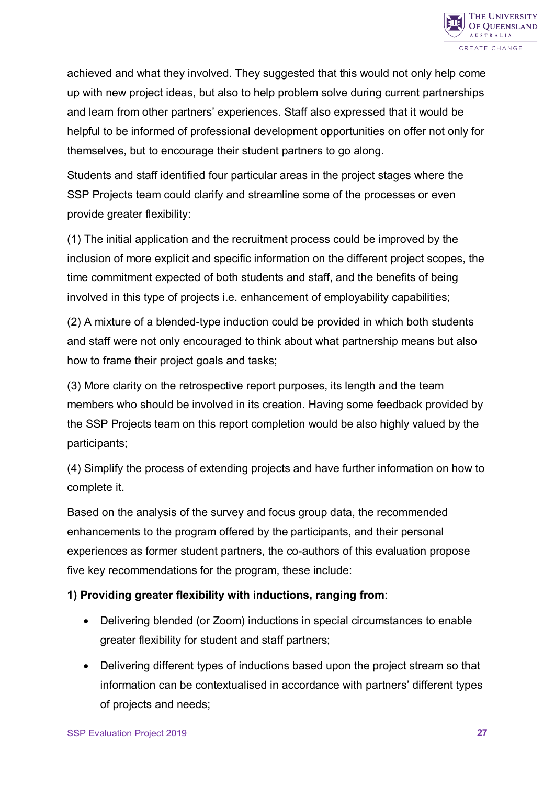

achieved and what they involved. They suggested that this would not only help come up with new project ideas, but also to help problem solve during current partnerships and learn from other partners' experiences. Staff also expressed that it would be helpful to be informed of professional development opportunities on offer not only for themselves, but to encourage their student partners to go along.

Students and staff identified four particular areas in the project stages where the SSP Projects team could clarify and streamline some of the processes or even provide greater flexibility:

(1) The initial application and the recruitment process could be improved by the inclusion of more explicit and specific information on the different project scopes, the time commitment expected of both students and staff, and the benefits of being involved in this type of projects i.e. enhancement of employability capabilities;

(2) A mixture of a blended-type induction could be provided in which both students and staff were not only encouraged to think about what partnership means but also how to frame their project goals and tasks;

(3) More clarity on the retrospective report purposes, its length and the team members who should be involved in its creation. Having some feedback provided by the SSP Projects team on this report completion would be also highly valued by the participants;

(4) Simplify the process of extending projects and have further information on how to complete it.

Based on the analysis of the survey and focus group data, the recommended enhancements to the program offered by the participants, and their personal experiences as former student partners, the co-authors of this evaluation propose five key recommendations for the program, these include:

#### **1) Providing greater flexibility with inductions, ranging from**:

- Delivering blended (or Zoom) inductions in special circumstances to enable greater flexibility for student and staff partners;
- Delivering different types of inductions based upon the project stream so that information can be contextualised in accordance with partners' different types of projects and needs;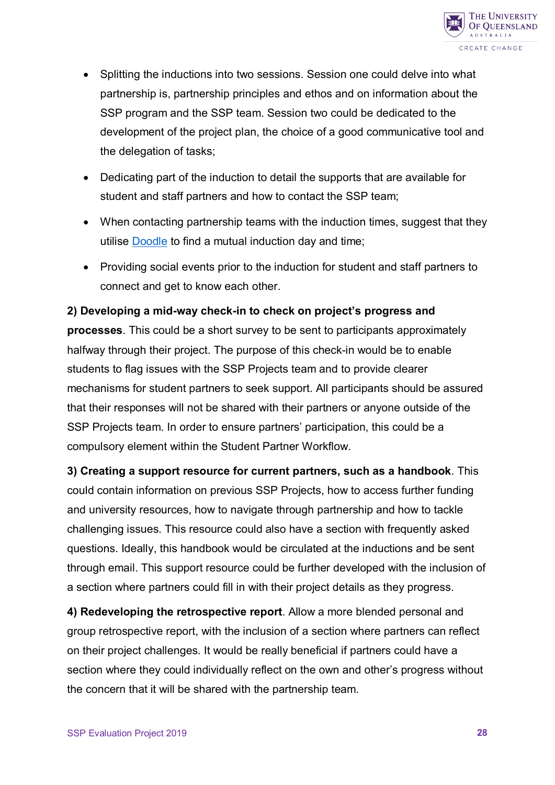

- Splitting the inductions into two sessions. Session one could delve into what partnership is, partnership principles and ethos and on information about the SSP program and the SSP team. Session two could be dedicated to the development of the project plan, the choice of a good communicative tool and the delegation of tasks;
- Dedicating part of the induction to detail the supports that are available for student and staff partners and how to contact the SSP team;
- When contacting partnership teams with the induction times, suggest that they utilise [Doodle](https://doodle.com/en/) to find a mutual induction day and time;
- Providing social events prior to the induction for student and staff partners to connect and get to know each other.

**2) Developing a mid-way check-in to check on project's progress and processes**. This could be a short survey to be sent to participants approximately halfway through their project. The purpose of this check-in would be to enable students to flag issues with the SSP Projects team and to provide clearer mechanisms for student partners to seek support. All participants should be assured that their responses will not be shared with their partners or anyone outside of the SSP Projects team. In order to ensure partners' participation, this could be a compulsory element within the Student Partner Workflow.

**3) Creating a support resource for current partners, such as a handbook**. This could contain information on previous SSP Projects, how to access further funding and university resources, how to navigate through partnership and how to tackle challenging issues. This resource could also have a section with frequently asked questions. Ideally, this handbook would be circulated at the inductions and be sent through email. This support resource could be further developed with the inclusion of a section where partners could fill in with their project details as they progress.

**4) Redeveloping the retrospective report**. Allow a more blended personal and group retrospective report, with the inclusion of a section where partners can reflect on their project challenges. It would be really beneficial if partners could have a section where they could individually reflect on the own and other's progress without the concern that it will be shared with the partnership team.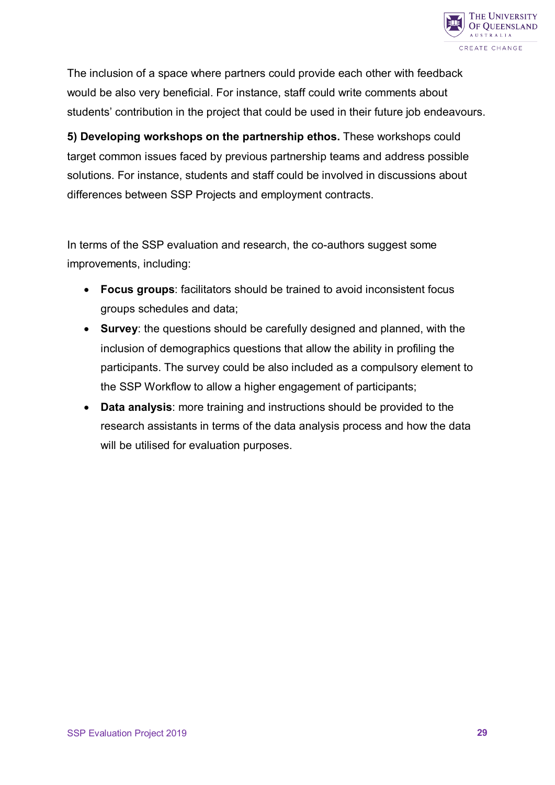

The inclusion of a space where partners could provide each other with feedback would be also very beneficial. For instance, staff could write comments about students' contribution in the project that could be used in their future job endeavours.

**5) Developing workshops on the partnership ethos.** These workshops could target common issues faced by previous partnership teams and address possible solutions. For instance, students and staff could be involved in discussions about differences between SSP Projects and employment contracts.

In terms of the SSP evaluation and research, the co-authors suggest some improvements, including:

- **Focus groups**: facilitators should be trained to avoid inconsistent focus groups schedules and data;
- **Survey**: the questions should be carefully designed and planned, with the inclusion of demographics questions that allow the ability in profiling the participants. The survey could be also included as a compulsory element to the SSP Workflow to allow a higher engagement of participants;
- <span id="page-28-0"></span>• **Data analysis**: more training and instructions should be provided to the research assistants in terms of the data analysis process and how the data will be utilised for evaluation purposes.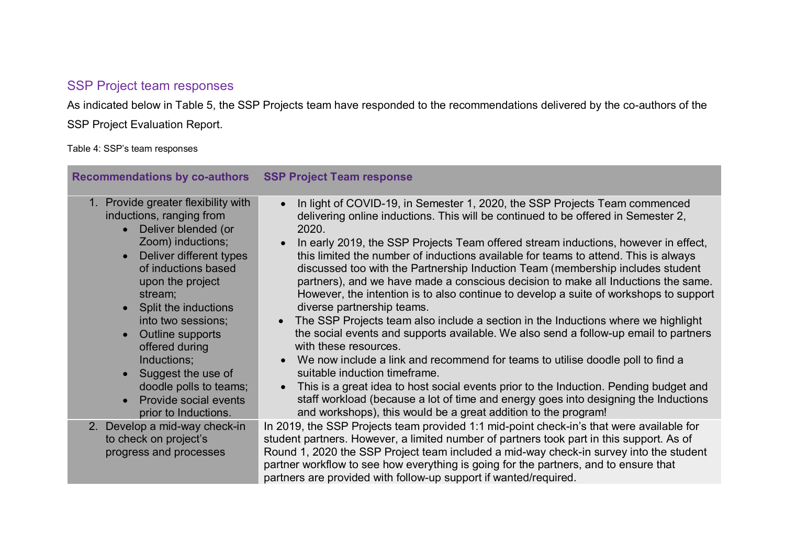## SSP Project team responses

As indicated below in Table 5, the SSP Projects team have responded to the recommendations delivered by the co-authors of the SSP Project Evaluation Report.

Table 4: SSP's team responses

| Recommendations by co-authors SSP Project Team response                                                                                                                                                                                                                                                                                                                                                                   |                                                                                                                                                                                                                                                                                                                                                                                                                                                                                                                                                                                                                                                                                                                                                                                                                                                                                                                                                                                                                                                                                                                                                                                                                                                          |
|---------------------------------------------------------------------------------------------------------------------------------------------------------------------------------------------------------------------------------------------------------------------------------------------------------------------------------------------------------------------------------------------------------------------------|----------------------------------------------------------------------------------------------------------------------------------------------------------------------------------------------------------------------------------------------------------------------------------------------------------------------------------------------------------------------------------------------------------------------------------------------------------------------------------------------------------------------------------------------------------------------------------------------------------------------------------------------------------------------------------------------------------------------------------------------------------------------------------------------------------------------------------------------------------------------------------------------------------------------------------------------------------------------------------------------------------------------------------------------------------------------------------------------------------------------------------------------------------------------------------------------------------------------------------------------------------|
| Provide greater flexibility with<br>$1_{\cdot}$<br>inductions, ranging from<br>Deliver blended (or<br>$\bullet$<br>Zoom) inductions;<br>Deliver different types<br>of inductions based<br>upon the project<br>stream;<br>Split the inductions<br>into two sessions;<br>Outline supports<br>offered during<br>Inductions;<br>Suggest the use of<br>doodle polls to teams;<br>Provide social events<br>prior to Inductions. | In light of COVID-19, in Semester 1, 2020, the SSP Projects Team commenced<br>$\bullet$<br>delivering online inductions. This will be continued to be offered in Semester 2,<br>2020.<br>In early 2019, the SSP Projects Team offered stream inductions, however in effect,<br>this limited the number of inductions available for teams to attend. This is always<br>discussed too with the Partnership Induction Team (membership includes student<br>partners), and we have made a conscious decision to make all Inductions the same.<br>However, the intention is to also continue to develop a suite of workshops to support<br>diverse partnership teams.<br>The SSP Projects team also include a section in the Inductions where we highlight<br>the social events and supports available. We also send a follow-up email to partners<br>with these resources.<br>We now include a link and recommend for teams to utilise doodle poll to find a<br>suitable induction timeframe.<br>This is a great idea to host social events prior to the Induction. Pending budget and<br>$\bullet$<br>staff workload (because a lot of time and energy goes into designing the Inductions<br>and workshops), this would be a great addition to the program! |
| 2. Develop a mid-way check-in<br>to check on project's<br>progress and processes                                                                                                                                                                                                                                                                                                                                          | In 2019, the SSP Projects team provided 1:1 mid-point check-in's that were available for<br>student partners. However, a limited number of partners took part in this support. As of<br>Round 1, 2020 the SSP Project team included a mid-way check-in survey into the student<br>partner workflow to see how everything is going for the partners, and to ensure that<br>partners are provided with follow-up support if wanted/required.                                                                                                                                                                                                                                                                                                                                                                                                                                                                                                                                                                                                                                                                                                                                                                                                               |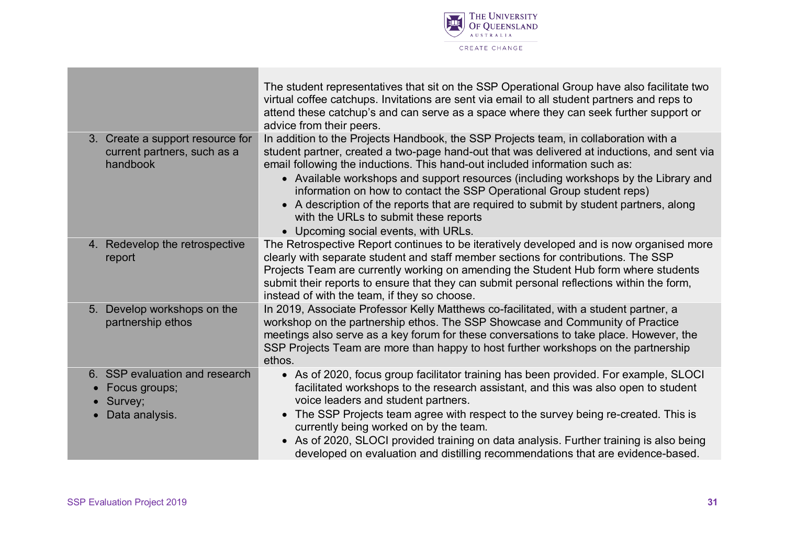

|                                                                                | The student representatives that sit on the SSP Operational Group have also facilitate two<br>virtual coffee catchups. Invitations are sent via email to all student partners and reps to<br>attend these catchup's and can serve as a space where they can seek further support or<br>advice from their peers.                                                                                                                                                                                                                                                                                                         |
|--------------------------------------------------------------------------------|-------------------------------------------------------------------------------------------------------------------------------------------------------------------------------------------------------------------------------------------------------------------------------------------------------------------------------------------------------------------------------------------------------------------------------------------------------------------------------------------------------------------------------------------------------------------------------------------------------------------------|
| 3. Create a support resource for<br>current partners, such as a<br>handbook    | In addition to the Projects Handbook, the SSP Projects team, in collaboration with a<br>student partner, created a two-page hand-out that was delivered at inductions, and sent via<br>email following the inductions. This hand-out included information such as:<br>• Available workshops and support resources (including workshops by the Library and<br>information on how to contact the SSP Operational Group student reps)<br>A description of the reports that are required to submit by student partners, along<br>$\bullet$<br>with the URLs to submit these reports<br>• Upcoming social events, with URLs. |
| 4. Redevelop the retrospective<br>report                                       | The Retrospective Report continues to be iteratively developed and is now organised more<br>clearly with separate student and staff member sections for contributions. The SSP<br>Projects Team are currently working on amending the Student Hub form where students<br>submit their reports to ensure that they can submit personal reflections within the form,<br>instead of with the team, if they so choose.                                                                                                                                                                                                      |
| 5. Develop workshops on the<br>partnership ethos                               | In 2019, Associate Professor Kelly Matthews co-facilitated, with a student partner, a<br>workshop on the partnership ethos. The SSP Showcase and Community of Practice<br>meetings also serve as a key forum for these conversations to take place. However, the<br>SSP Projects Team are more than happy to host further workshops on the partnership<br>ethos.                                                                                                                                                                                                                                                        |
| 6. SSP evaluation and research<br>Focus groups;<br>• Survey;<br>Data analysis. | • As of 2020, focus group facilitator training has been provided. For example, SLOCI<br>facilitated workshops to the research assistant, and this was also open to student<br>voice leaders and student partners.<br>The SSP Projects team agree with respect to the survey being re-created. This is<br>$\bullet$<br>currently being worked on by the team.<br>As of 2020, SLOCI provided training on data analysis. Further training is also being<br>$\bullet$<br>developed on evaluation and distilling recommendations that are evidence-based.                                                                    |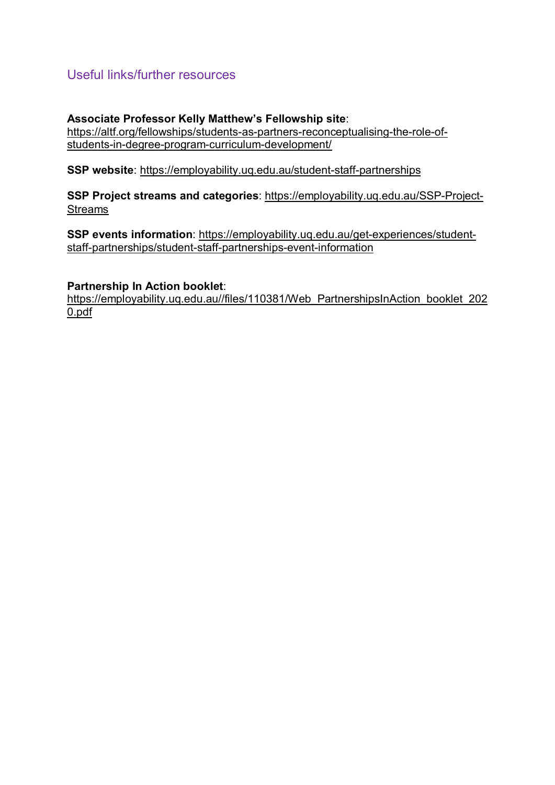## <span id="page-31-0"></span>Useful links/further resources

#### **Associate Professor Kelly Matthew's Fellowship site**:

[https://altf.org/fellowships/students-as-partners-reconceptualising-the-role-of](https://altf.org/fellowships/students-as-partners-reconceptualising-the-role-of-students-in-degree-program-curriculum-development/)[students-in-degree-program-curriculum-development/](https://altf.org/fellowships/students-as-partners-reconceptualising-the-role-of-students-in-degree-program-curriculum-development/)

**SSP website**:<https://employability.uq.edu.au/student-staff-partnerships>

**SSP Project streams and categories**: [https://employability.uq.edu.au/SSP-Project-](https://employability.uq.edu.au/SSP-Project-Streams)[Streams](https://employability.uq.edu.au/SSP-Project-Streams)

**SSP events information**: https://employability.uq.edu.au/get-experiences/studentstaff-partnerships/student-staff-partnerships-event-information

#### **Partnership In Action booklet**:

[https://employability.uq.edu.au//files/110381/Web\\_PartnershipsInAction\\_booklet\\_202](https://employability.uq.edu.au/files/110381/Web_PartnershipsInAction_booklet_2020.pdf) [0.pdf](https://employability.uq.edu.au/files/110381/Web_PartnershipsInAction_booklet_2020.pdf)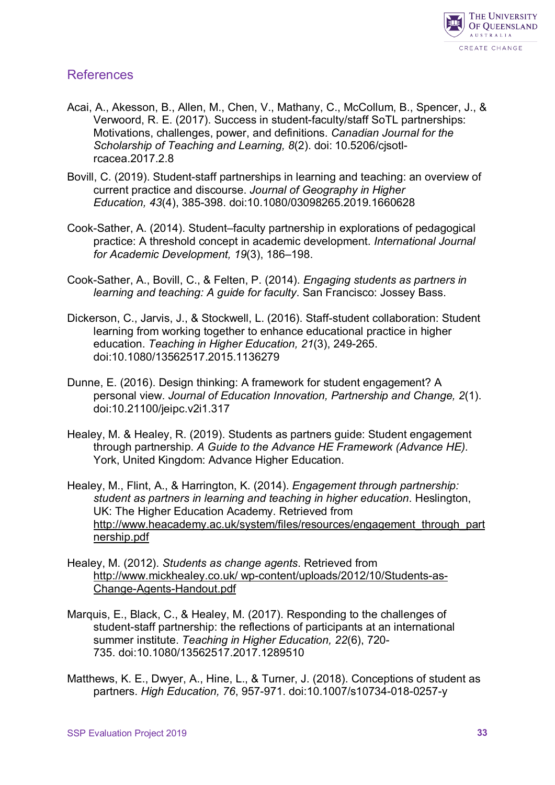

#### <span id="page-32-0"></span>References

- Acai, A., Akesson, B., Allen, M., Chen, V., Mathany, C., McCollum, B., Spencer, J., & Verwoord, R. E. (2017). Success in student-faculty/staff SoTL partnerships: Motivations, challenges, power, and definitions. *Canadian Journal for the Scholarship of Teaching and Learning, 8*(2). doi: [10.5206/cjsotl](https://doi.org/10.5206/cjsotl-rcacea.2017.2.8)[rcacea.2017.2.8](https://doi.org/10.5206/cjsotl-rcacea.2017.2.8)
- Bovill, C. (2019). Student-staff partnerships in learning and teaching: an overview of current practice and discourse. *Journal of Geography in Higher Education, 43*(4), 385-398. doi[:10.1080/03098265.2019.1660628](https://doi-org.ezproxy.library.uq.edu.au/10.1080/03098265.2019.1660628)
- Cook-Sather, A. (2014). Student–faculty partnership in explorations of pedagogical practice: A threshold concept in academic development. *International Journal for Academic Development, 19*(3), 186–198.
- Cook-Sather, A., Bovill, C., & Felten, P. (2014). *Engaging students as partners in learning and teaching: A guide for faculty*. San Francisco: Jossey Bass.
- Dickerson, C., Jarvis, J., & Stockwell, L. (2016). Staff-student collaboration: Student learning from working together to enhance educational practice in higher education. *Teaching in Higher Education, 21*(3), 249-265. doi:10.1080/13562517.2015.1136279
- Dunne, E. (2016). Design thinking: A framework for student engagement? A personal view. *Journal of Education Innovation, Partnership and Change, 2*(1). doi:10.21100/jeipc.v2i1.317
- Healey, M. & Healey, R. (2019). Students as partners guide: Student engagement through partnership. *A Guide to the Advance HE Framework (Advance HE).* York, United Kingdom: Advance Higher Education.
- Healey, M., Flint, A., & Harrington, K. (2014). *Engagement through partnership: student as partners in learning and teaching in higher education*. Heslington, UK: The Higher Education Academy. Retrieved from [http://www.heacademy.ac.uk/system/files/resources/engagement\\_through\\_part](http://www.heacademy.ac.uk/system/files/resources/engagement_through_partnership.pdf) [nership.pdf](http://www.heacademy.ac.uk/system/files/resources/engagement_through_partnership.pdf)
- Healey, M. (2012). *Students as change agents*. Retrieved from http://www.mickhealey.co.uk/ wp-content/uploads/2012/10/Students-as-Change-Agents-Handout.pdf
- Marquis, E., Black, C., & Healey, M. (2017). Responding to the challenges of student-staff partnership: the reflections of participants at an international summer institute. *Teaching in Higher Education, 22*(6), 720- 735. doi[:10.1080/13562517.2017.1289510](https://doi.org/10.1080/13562517.2017.1289510)
- Matthews, K. E., Dwyer, A., Hine, L., & Turner, J. (2018). Conceptions of student as partners. *High Education, 76*, 957-971. doi:10.1007/s10734-018-0257-y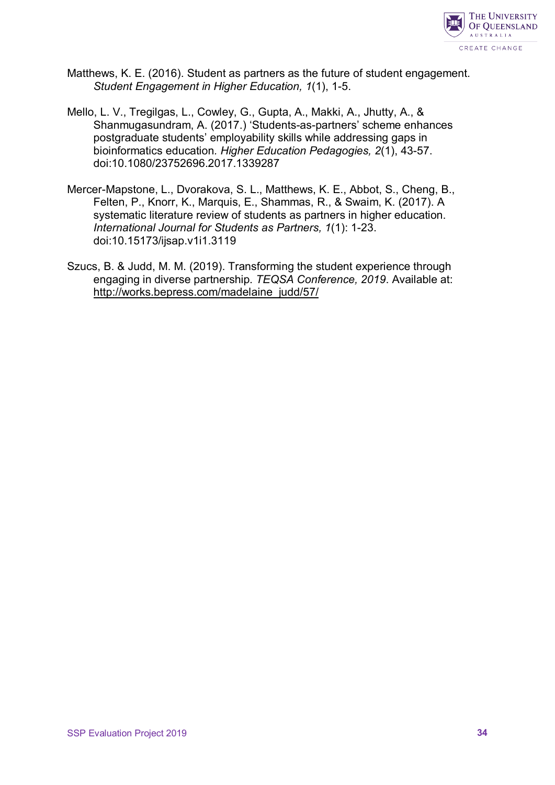

- Matthews, K. E. (2016). Student as partners as the future of student engagement. *Student Engagement in Higher Education, 1*(1), 1-5.
- Mello, L. V., Tregilgas, L., Cowley, G., Gupta, A., Makki, A., Jhutty, A., & Shanmugasundram, A. (2017.) 'Students-as-partners' scheme enhances postgraduate students' employability skills while addressing gaps in bioinformatics education*. Higher Education Pedagogies, 2*(1), 43-57. doi:10.1080/23752696.2017.1339287
- Mercer-Mapstone, L., Dvorakova, S. L., Matthews, K. E., Abbot, S., Cheng, B., Felten, P., Knorr, K., Marquis, E., Shammas, R., & Swaim, K. (2017). A systematic literature review of students as partners in higher education. *International Journal for Students as Partners, 1*(1): 1-23. doi:10.15173/ijsap.v1i1.3119
- Szucs, B. & Judd, M. M. (2019). Transforming the student experience through engaging in diverse partnership. *TEQSA Conference, 2019*. Available at: http://works.bepress.com/madelaine\_judd/57/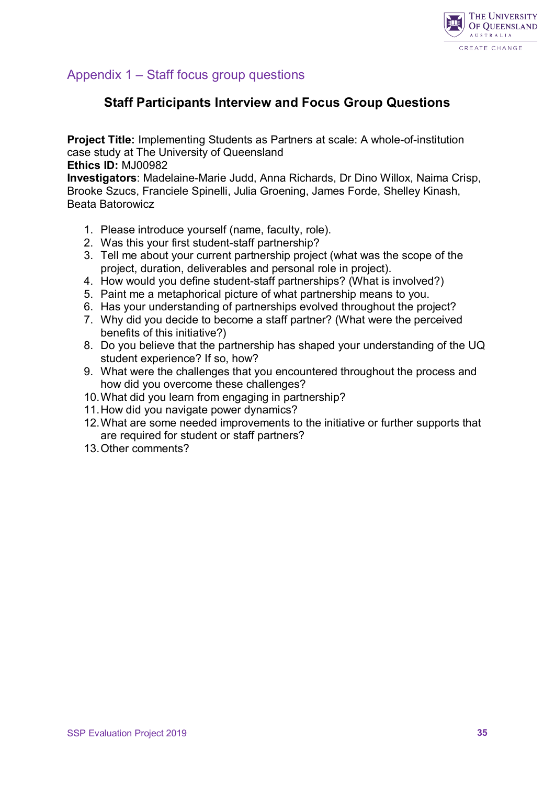

## <span id="page-34-0"></span>Appendix 1 – Staff focus group questions

## **Staff Participants Interview and Focus Group Questions**

**Project Title:** Implementing Students as Partners at scale: A whole-of-institution case study at The University of Queensland

**Ethics ID:** MJ00982

**Investigators**: Madelaine-Marie Judd, Anna Richards, Dr Dino Willox, Naima Crisp, Brooke Szucs, Franciele Spinelli, Julia Groening, James Forde, Shelley Kinash, Beata Batorowicz

- 1. Please introduce yourself (name, faculty, role).
- 2. Was this your first student-staff partnership?
- 3. Tell me about your current partnership project (what was the scope of the project, duration, deliverables and personal role in project).
- 4. How would you define student-staff partnerships? (What is involved?)
- 5. Paint me a metaphorical picture of what partnership means to you.
- 6. Has your understanding of partnerships evolved throughout the project?
- 7. Why did you decide to become a staff partner? (What were the perceived benefits of this initiative?)
- 8. Do you believe that the partnership has shaped your understanding of the UQ student experience? If so, how?
- 9. What were the challenges that you encountered throughout the process and how did you overcome these challenges?
- 10.What did you learn from engaging in partnership?
- 11.How did you navigate power dynamics?
- 12.What are some needed improvements to the initiative or further supports that are required for student or staff partners?
- 13.Other comments?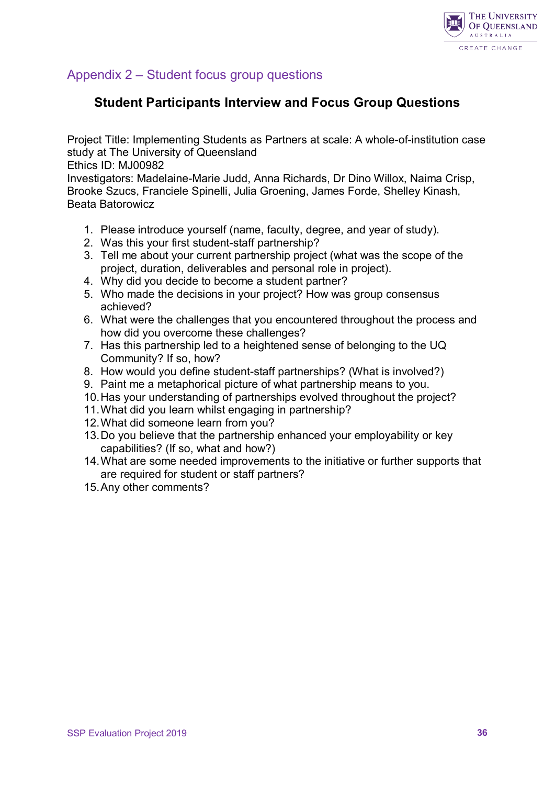

## <span id="page-35-0"></span>Appendix 2 – Student focus group questions

## **Student Participants Interview and Focus Group Questions**

Project Title: Implementing Students as Partners at scale: A whole-of-institution case study at The University of Queensland

Ethics ID: MJ00982

Investigators: Madelaine-Marie Judd, Anna Richards, Dr Dino Willox, Naima Crisp, Brooke Szucs, Franciele Spinelli, Julia Groening, James Forde, Shelley Kinash, Beata Batorowicz

- 1. Please introduce yourself (name, faculty, degree, and year of study).
- 2. Was this your first student-staff partnership?
- 3. Tell me about your current partnership project (what was the scope of the project, duration, deliverables and personal role in project).
- 4. Why did you decide to become a student partner?
- 5. Who made the decisions in your project? How was group consensus achieved?
- 6. What were the challenges that you encountered throughout the process and how did you overcome these challenges?
- 7. Has this partnership led to a heightened sense of belonging to the UQ Community? If so, how?
- 8. How would you define student-staff partnerships? (What is involved?)
- 9. Paint me a metaphorical picture of what partnership means to you.
- 10.Has your understanding of partnerships evolved throughout the project?
- 11.What did you learn whilst engaging in partnership?
- 12.What did someone learn from you?
- 13.Do you believe that the partnership enhanced your employability or key capabilities? (If so, what and how?)
- 14.What are some needed improvements to the initiative or further supports that are required for student or staff partners?
- 15.Any other comments?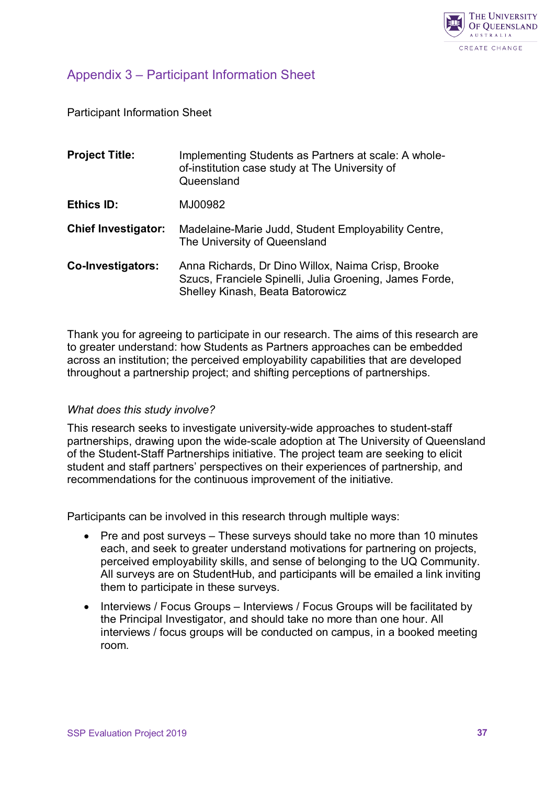

## <span id="page-36-0"></span>Appendix 3 – Participant Information Sheet

Participant Information Sheet

| <b>Project Title:</b>      | Implementing Students as Partners at scale: A whole-<br>of-institution case study at The University of<br>Queensland                              |
|----------------------------|---------------------------------------------------------------------------------------------------------------------------------------------------|
| Ethics ID:                 | MJ00982                                                                                                                                           |
| <b>Chief Investigator:</b> | Madelaine-Marie Judd, Student Employability Centre,<br>The University of Queensland                                                               |
| Co-Investigators:          | Anna Richards, Dr Dino Willox, Naima Crisp, Brooke<br>Szucs, Franciele Spinelli, Julia Groening, James Forde,<br>Shelley Kinash, Beata Batorowicz |

Thank you for agreeing to participate in our research. The aims of this research are to greater understand: how Students as Partners approaches can be embedded across an institution; the perceived employability capabilities that are developed throughout a partnership project; and shifting perceptions of partnerships.

#### *What does this study involve?*

This research seeks to investigate university-wide approaches to student-staff partnerships, drawing upon the wide-scale adoption at The University of Queensland of the Student-Staff Partnerships initiative. The project team are seeking to elicit student and staff partners' perspectives on their experiences of partnership, and recommendations for the continuous improvement of the initiative.

Participants can be involved in this research through multiple ways:

- Pre and post surveys These surveys should take no more than 10 minutes each, and seek to greater understand motivations for partnering on projects, perceived employability skills, and sense of belonging to the UQ Community. All surveys are on StudentHub, and participants will be emailed a link inviting them to participate in these surveys.
- Interviews / Focus Groups Interviews / Focus Groups will be facilitated by the Principal Investigator, and should take no more than one hour. All interviews / focus groups will be conducted on campus, in a booked meeting room.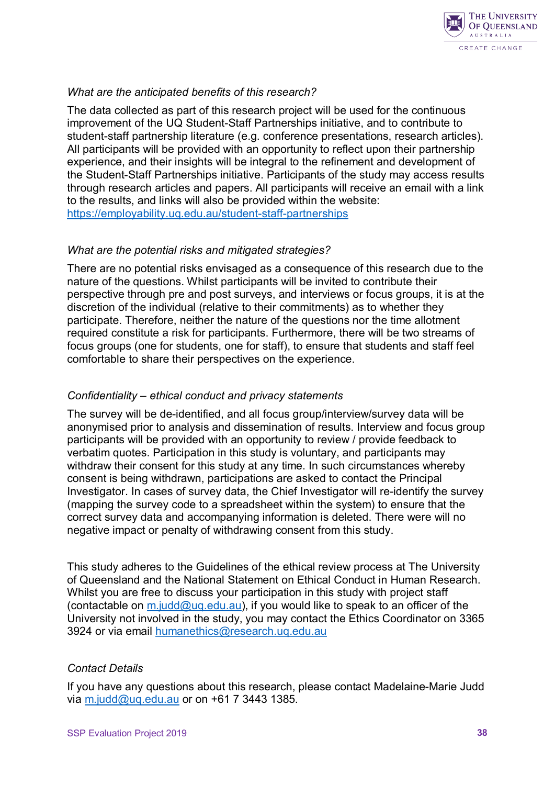

#### *What are the anticipated benefits of this research?*

The data collected as part of this research project will be used for the continuous improvement of the UQ Student-Staff Partnerships initiative, and to contribute to student-staff partnership literature (e.g. conference presentations, research articles). All participants will be provided with an opportunity to reflect upon their partnership experience, and their insights will be integral to the refinement and development of the Student-Staff Partnerships initiative. Participants of the study may access results through research articles and papers. All participants will receive an email with a link to the results, and links will also be provided within the website: <https://employability.uq.edu.au/student-staff-partnerships>

#### *What are the potential risks and mitigated strategies?*

There are no potential risks envisaged as a consequence of this research due to the nature of the questions. Whilst participants will be invited to contribute their perspective through pre and post surveys, and interviews or focus groups, it is at the discretion of the individual (relative to their commitments) as to whether they participate. Therefore, neither the nature of the questions nor the time allotment required constitute a risk for participants. Furthermore, there will be two streams of focus groups (one for students, one for staff), to ensure that students and staff feel comfortable to share their perspectives on the experience.

#### *Confidentiality – ethical conduct and privacy statements*

The survey will be de-identified, and all focus group/interview/survey data will be anonymised prior to analysis and dissemination of results. Interview and focus group participants will be provided with an opportunity to review / provide feedback to verbatim quotes. Participation in this study is voluntary, and participants may withdraw their consent for this study at any time. In such circumstances whereby consent is being withdrawn, participations are asked to contact the Principal Investigator. In cases of survey data, the Chief Investigator will re-identify the survey (mapping the survey code to a spreadsheet within the system) to ensure that the correct survey data and accompanying information is deleted. There were will no negative impact or penalty of withdrawing consent from this study.

This study adheres to the Guidelines of the ethical review process at The University of Queensland and the National Statement on Ethical Conduct in Human Research. Whilst you are free to discuss your participation in this study with project staff (contactable on  $m$ .judd@uq.edu.au), if you would like to speak to an officer of the University not involved in the study, you may contact the Ethics Coordinator on 3365 3924 or via email [humanethics@research.uq.edu.au](mailto:humanethics@research.uq.edu.au)

#### *Contact Details*

If you have any questions about this research, please contact Madelaine-Marie Judd via [m.judd@uq.edu.au](mailto:m.judd@uq.edu.au) or on +61 7 3443 1385.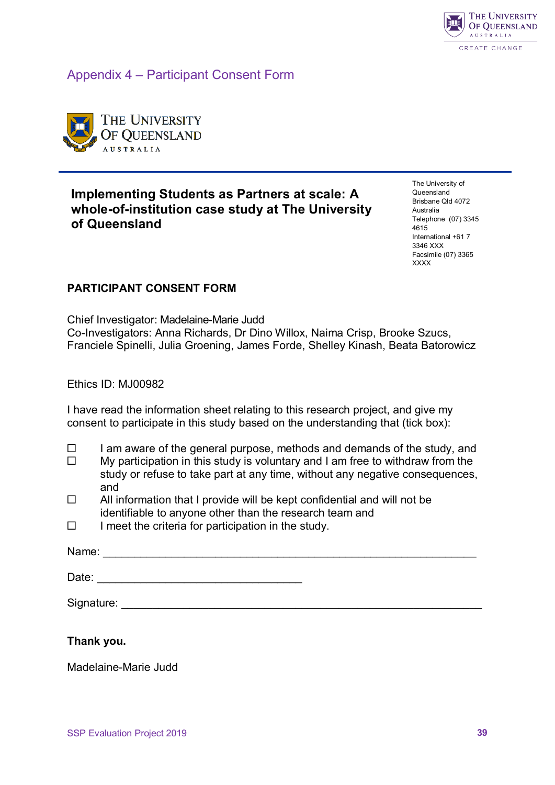

Appendix 4 – Participant Consent Form



## **Implementing Students as Partners at scale: A whole-of-institution case study at The University of Queensland**

The University of Queensland Brisbane Qld 4072 Australia Telephone (07) 3345 4615 International +61 7 3346 XXX Facsimile (07) 3365 **XXXX** 

#### **PARTICIPANT CONSENT FORM**

Chief Investigator: Madelaine-Marie Judd Co-Investigators: Anna Richards, Dr Dino Willox, Naima Crisp, Brooke Szucs, Franciele Spinelli, Julia Groening, James Forde, Shelley Kinash, Beata Batorowicz

Ethics ID: MJ00982

I have read the information sheet relating to this research project, and give my consent to participate in this study based on the understanding that (tick box):

- $\Box$  I am aware of the general purpose, methods and demands of the study, and
- $\Box$  My participation in this study is voluntary and I am free to withdraw from the study or refuse to take part at any time, without any negative consequences, and
- $\Box$  All information that I provide will be kept confidential and will not be identifiable to anyone other than the research team and
- $\Box$  I meet the criteria for participation in the study.

| Name:      |  |
|------------|--|
| Date:      |  |
| Signature: |  |

#### **Thank you.**

Madelaine-Marie Judd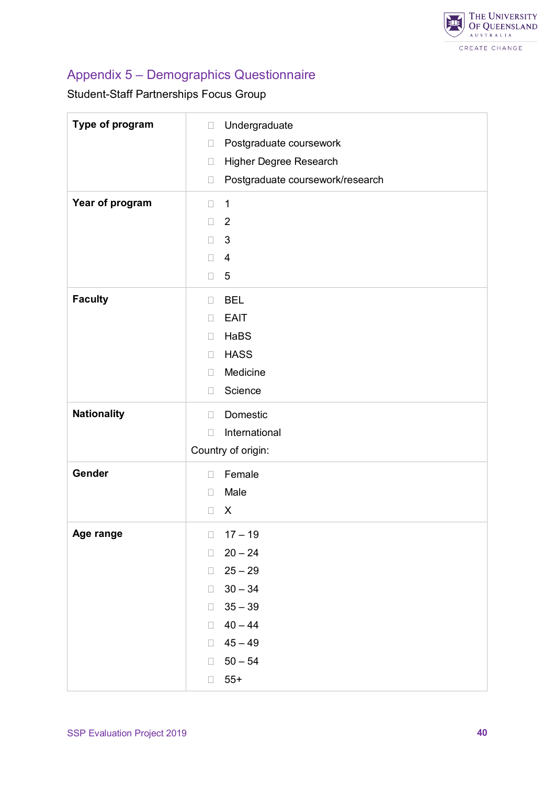

## Appendix 5 – Demographics Questionnaire

Student-Staff Partnerships Focus Group

| Type of program    | Undergraduate<br>$\Box$<br>Postgraduate coursework<br>$\Box$ |
|--------------------|--------------------------------------------------------------|
|                    | Higher Degree Research<br>$\Box$                             |
|                    | Postgraduate coursework/research<br>$\Box$                   |
|                    |                                                              |
| Year of program    | $\mathbf 1$<br>$\Box$                                        |
|                    | $\overline{2}$<br>$\Box$                                     |
|                    | $\mathfrak{B}$<br>$\Box$                                     |
|                    | $\overline{4}$<br>$\Box$                                     |
|                    | 5<br>П                                                       |
| <b>Faculty</b>     | <b>BEL</b><br>П                                              |
|                    | <b>EAIT</b><br>$\Box$                                        |
|                    | HaBS<br>П                                                    |
|                    | <b>HASS</b><br>П                                             |
|                    | Medicine<br>П                                                |
|                    | Science<br>$\Box$                                            |
| <b>Nationality</b> | Domestic<br>П                                                |
|                    | International<br>П                                           |
|                    | Country of origin:                                           |
| Gender             | Female<br>$\Box$                                             |
|                    | Male<br>$\Box$                                               |
|                    | X<br>П                                                       |
| Age range          | $\Box$<br>$17 - 19$                                          |
|                    | $20 - 24$<br>$\Box$                                          |
|                    | $25 - 29$<br>$\Box$                                          |
|                    | $30 - 34$<br>$\Box$                                          |
|                    | $35 - 39$<br>$\Box$                                          |
|                    | $40 - 44$<br>$\Box$                                          |
|                    | $45 - 49$<br>$\Box$                                          |
|                    | $50 - 54$<br>П                                               |
|                    | $55+$<br>$\Box$                                              |
|                    |                                                              |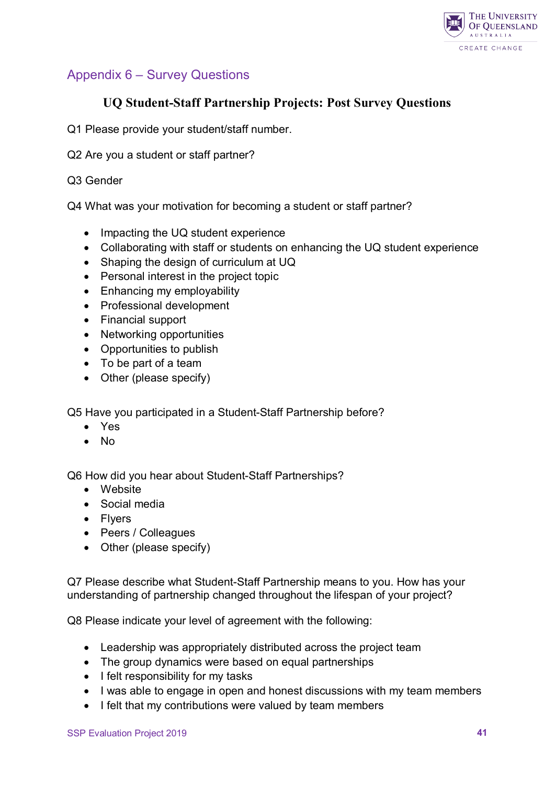

## <span id="page-40-0"></span>Appendix 6 – Survey Questions

## **UQ Student-Staff Partnership Projects: Post Survey Questions**

- Q1 Please provide your student/staff number.
- Q2 Are you a student or staff partner?

#### Q3 Gender

Q4 What was your motivation for becoming a student or staff partner?

- Impacting the UQ student experience
- Collaborating with staff or students on enhancing the UQ student experience
- Shaping the design of curriculum at UQ
- Personal interest in the project topic
- Enhancing my employability
- Professional development
- Financial support
- Networking opportunities
- Opportunities to publish
- To be part of a team
- Other (please specify)

Q5 Have you participated in a Student-Staff Partnership before?

- Yes
- No

Q6 How did you hear about Student-Staff Partnerships?

- Website
- Social media
- Flyers
- Peers / Colleagues
- Other (please specify)

Q7 Please describe what Student-Staff Partnership means to you. How has your understanding of partnership changed throughout the lifespan of your project?

Q8 Please indicate your level of agreement with the following:

- Leadership was appropriately distributed across the project team
- The group dynamics were based on equal partnerships
- I felt responsibility for my tasks
- I was able to engage in open and honest discussions with my team members
- I felt that my contributions were valued by team members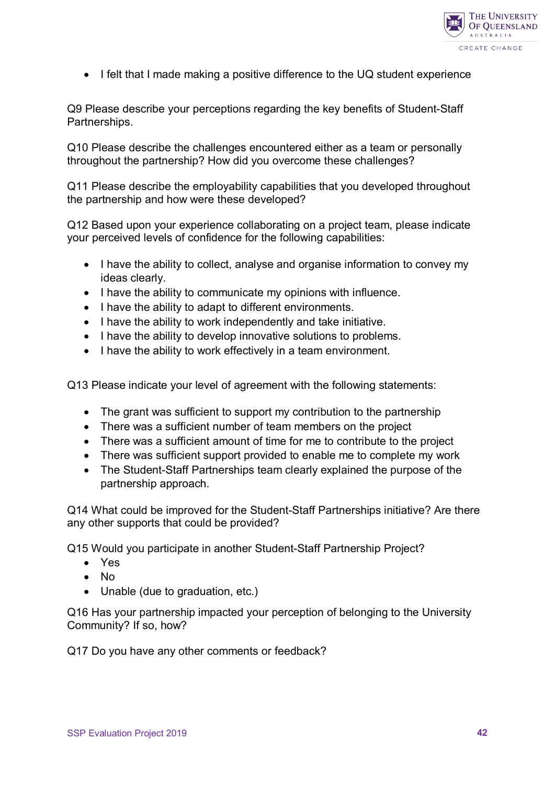

• I felt that I made making a positive difference to the UQ student experience

Q9 Please describe your perceptions regarding the key benefits of Student-Staff Partnerships.

Q10 Please describe the challenges encountered either as a team or personally throughout the partnership? How did you overcome these challenges?

Q11 Please describe the employability capabilities that you developed throughout the partnership and how were these developed?

Q12 Based upon your experience collaborating on a project team, please indicate your perceived levels of confidence for the following capabilities:

- I have the ability to collect, analyse and organise information to convey my ideas clearly.
- I have the ability to communicate my opinions with influence.
- I have the ability to adapt to different environments.
- I have the ability to work independently and take initiative.
- I have the ability to develop innovative solutions to problems.
- I have the ability to work effectively in a team environment.

Q13 Please indicate your level of agreement with the following statements:

- The grant was sufficient to support my contribution to the partnership
- There was a sufficient number of team members on the project
- There was a sufficient amount of time for me to contribute to the project
- There was sufficient support provided to enable me to complete my work
- The Student-Staff Partnerships team clearly explained the purpose of the partnership approach.

Q14 What could be improved for the Student-Staff Partnerships initiative? Are there any other supports that could be provided?

Q15 Would you participate in another Student-Staff Partnership Project?

- Yes
- No
- Unable (due to graduation, etc.)

Q16 Has your partnership impacted your perception of belonging to the University Community? If so, how?

Q17 Do you have any other comments or feedback?